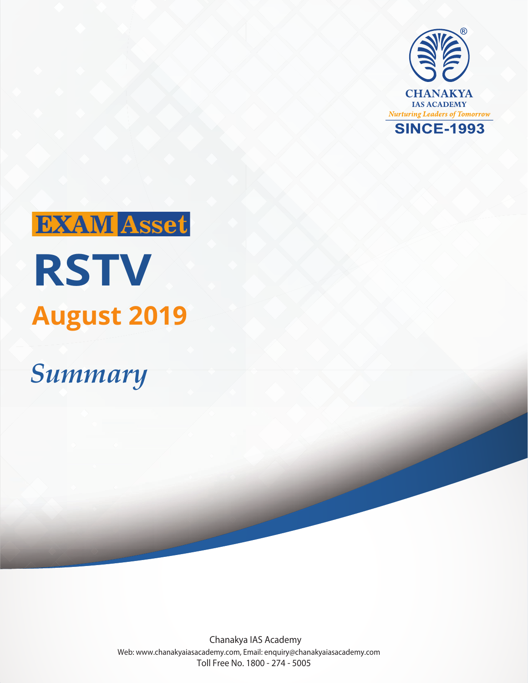

# **EXAM** Asset **RSTV August 2019**

*Summary*

Chanakya IAS Academy Web: www.chanakyaiasacademy.com, Email: enquiry@chanakyaiasacademy.com Toll Free No. 1800 - 274 - 5005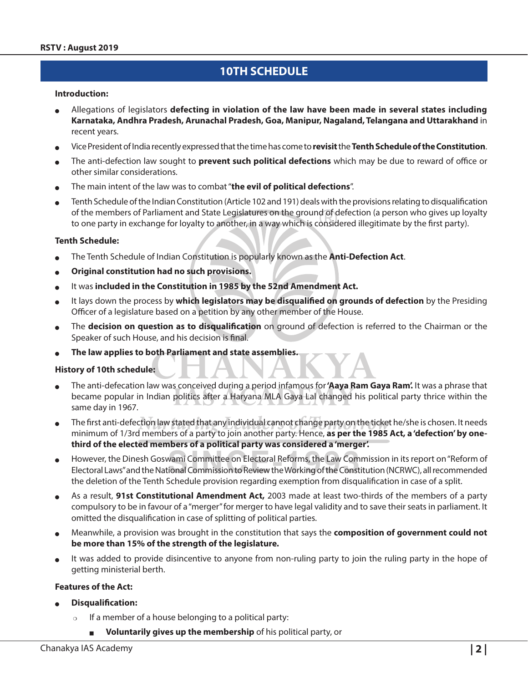# **10TH SCHEDULE**

#### **Introduction:**

- <sup>O</sup> Allegations of legislators **defecting in violation of the law have been made in several states including Karnataka, Andhra Pradesh, Arunachal Pradesh, Goa, Manipur, Nagaland, Telangana and Uttarakhand** in recent years.
- <sup>O</sup> Vice President of India recently expressed that the time has come to **revisit** the **Tenth Schedule of the Constitution**.
- <sup>O</sup> The anti-defection law sought to **prevent such political defections** which may be due to reward of office or other similar considerations.
- The main intent of the law was to combat "the evil of political defections".
- Tenth Schedule of the Indian Constitution (Article 102 and 191) deals with the provisions relating to disqualification of the members of Parliament and State Legislatures on the ground of defection (a person who gives up loyalty to one party in exchange for loyalty to another, in a way which is considered illegitimate by the first party).

#### **Tenth Schedule:**

- <sup>O</sup> The Tenth Schedule of Indian Constitution is popularly known as the **Anti-Defection Act**.
- **Original constitution had no such provisions.**
- It was included in the Constitution in 1985 by the 52nd Amendment Act.
- It lays down the process by which legislators may be disqualified on grounds of defection by the Presiding Officer of a legislature based on a petition by any other member of the House.
- The **decision on question as to disqualification** on ground of defection is referred to the Chairman or the Speaker of such House, and his decision is final.
- <sup>O</sup> **The law applies to both Parliament and state assemblies.**

#### **History of 10th schedule:**

- <sup>O</sup> The anti-defecation law was conceived during a period infamous for **'Aaya Ram Gaya Ram'.** It was a phrase that became popular in Indian politics after a Haryana MLA Gaya Lal changed his political party thrice within the same day in 1967.
- The first anti-defection law stated that any individual cannot change party on the ticket he/she is chosen. It needs minimum of 1/3rd members of a party to join another party. Hence, **as per the 1985 Act, a 'defection' by onethird of the elected members of a political party was considered a 'merger'.**
- However, the Dinesh Goswami Committee on Electoral Reforms, the Law Commission in its report on "Reform of Electoral Laws" and the National Commission to Review the Working of the Constitution (NCRWC), all recommended the deletion of the Tenth Schedule provision regarding exemption from disqualification in case of a split.
- As a result, **91st Constitutional Amendment Act,** 2003 made at least two-thirds of the members of a party compulsory to be in favour of a "merger" for merger to have legal validity and to save their seats in parliament. It omitted the disqualification in case of splitting of political parties.
- <sup>O</sup> Meanwhile, a provision was brought in the constitution that says the **composition of government could not be more than 15% of the strength of the legislature.**
- It was added to provide disincentive to anyone from non-ruling party to join the ruling party in the hope of getting ministerial berth.

#### **Features of the Act:**

- <sup>O</sup> **Disqualification:**
	- $\circ$  If a member of a house belonging to a political party:
		- **Voluntarily gives up the membership** of his political party, or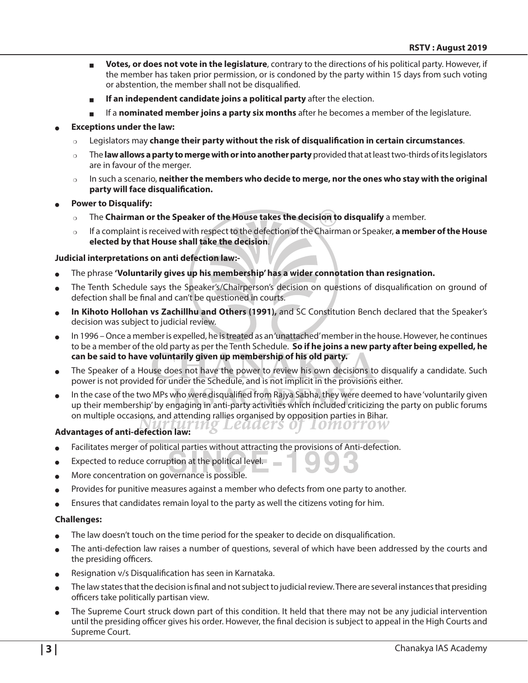- **Votes, or does not vote in the legislature**, contrary to the directions of his political party. However, if the member has taken prior permission, or is condoned by the party within 15 days from such voting or abstention, the member shall not be disqualified.
- **If an independent candidate joins a political party** after the election.
- If a **nominated member joins a party six months** after he becomes a member of the legislature.
- **Exceptions under the law:** 
	- $\circ$  Legislators may **change their party without the risk of disqualification in certain circumstances**.
	- <sup>P</sup> The **law allows a party to merge with or into another party** provided that at least two-thirds of its legislators are in favour of the merger.
	- o ln such a scenario, **neither the members who decide to merge, nor the ones who stay with the original party will face disqualification.**
- **Power to Disqualify:** 
	- The **Chairman or the Speaker of the House takes the decision to disqualify** a member.
	- <sup>P</sup> If a complaint is received with respect to the defection of the Chairman or Speaker, **a member of the House elected by that House shall take the decision**.

#### **Judicial interpretations on anti defection law:-**

- <sup>O</sup> The phrase **'Voluntarily gives up his membership' has a wider connotation than resignation.**
- The Tenth Schedule says the Speaker's/Chairperson's decision on questions of disqualification on ground of defection shall be final and can't be questioned in courts.
- In Kihoto Hollohan vs Zachillhu and Others (1991), and SC Constitution Bench declared that the Speaker's decision was subject to judicial review.
- In 1996 Once a member is expelled, he is treated as an 'unattached' member in the house. However, he continues to be a member of the old party as per the Tenth Schedule. **So if he joins a new party after being expelled, he can be said to have voluntarily given up membership of his old party.**
- The Speaker of a House does not have the power to review his own decisions to disqualify a candidate. Such power is not provided for under the Schedule, and is not implicit in the provisions either.
- In the case of the two MPs who were disqualified from Rajya Sabha, they were deemed to have 'voluntarily given up their membership' by engaging in anti-party activities which included criticizing the party on public forums on multiple occasions, and attending rallies organised by opposition parties in Bihar.

*TOMOTTOW* 

# Advantages of anti-defection law: Leader's 0

- Facilitates merger of political parties without attracting the provisions of Anti-defection.
- Expected to reduce corruption at the political level.
- More concentration on governance is possible.
- Provides for punitive measures against a member who defects from one party to another.
- Ensures that candidates remain loyal to the party as well the citizens voting for him.

#### **Challenges:**

- The law doesn't touch on the time period for the speaker to decide on disqualification.
- The anti-defection law raises a number of questions, several of which have been addressed by the courts and the presiding officers.
- Resignation v/s Disqualification has seen in Karnataka.
- The law states that the decision is final and not subject to judicial review. There are several instances that presiding officers take politically partisan view.
- The Supreme Court struck down part of this condition. It held that there may not be any judicial intervention until the presiding officer gives his order. However, the final decision is subject to appeal in the High Courts and Supreme Court.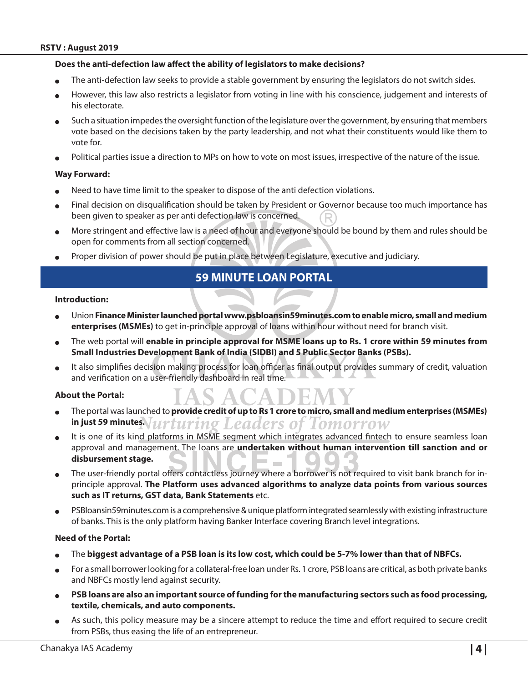#### **Does the anti-defection law affect the ability of legislators to make decisions?**

- The anti-defection law seeks to provide a stable government by ensuring the legislators do not switch sides.
- However, this law also restricts a legislator from voting in line with his conscience, judgement and interests of his electorate.
- Such a situation impedes the oversight function of the legislature over the government, by ensuring that members vote based on the decisions taken by the party leadership, and not what their constituents would like them to vote for.
- Political parties issue a direction to MPs on how to vote on most issues, irrespective of the nature of the issue.

#### **Way Forward:**

- Need to have time limit to the speaker to dispose of the anti defection violations.
- Final decision on disqualification should be taken by President or Governor because too much importance has been given to speaker as per anti defection law is concerned.
- More stringent and effective law is a need of hour and everyone should be bound by them and rules should be open for comments from all section concerned.
- Proper division of power should be put in place between Legislature, executive and judiciary.

### **59 MINUTE LOAN PORTAL**

#### **Introduction:**

- <sup>O</sup> Union **Finance Minister launched portal www.psbloansin59minutes.com to enable micro, small and medium enterprises (MSMEs)** to get in-principle approval of loans within hour without need for branch visit.
- <sup>O</sup> The web portal will **enable in principle approval for MSME loans up to Rs. 1 crore within 59 minutes from Small Industries Development Bank of India (SIDBI) and 5 Public Sector Banks (PSBs).**
- It also simplifies decision making process for loan officer as final output provides summary of credit, valuation and verification on a user-friendly dashboard in real time.

#### **About the Portal:**

- <sup>O</sup> The portal was launched to **provide credit of up to Rs 1 crore to micro, small and medium enterprises (MSMEs)**  in just 59 minutes Nurturing Leaders of Tomorrow
- It is one of its kind platforms in MSME segment which integrates advanced fintech to ensure seamless loan approval and management. The loans are **undertaken without human intervention till sanction and or disbursement stage.**
- The user-friendly portal offers contactless journey where a borrower is not required to visit bank branch for inprinciple approval. **The Platform uses advanced algorithms to analyze data points from various sources such as IT returns, GST data, Bank Statements** etc.
- PSBloansin59minutes.com is a comprehensive & unique platform integrated seamlessly with existing infrastructure of banks. This is the only platform having Banker Interface covering Branch level integrations.

#### **Need of the Portal:**

- <sup>O</sup> The **biggest advantage of a PSB loan is its low cost, which could be 5-7% lower than that of NBFCs.**
- For a small borrower looking for a collateral-free loan under Rs. 1 crore, PSB loans are critical, as both private banks and NBFCs mostly lend against security.
- <sup>O</sup> **PSB loans are also an important source of funding for the manufacturing sectors such as food processing, textile, chemicals, and auto components.**
- As such, this policy measure may be a sincere attempt to reduce the time and effort required to secure credit from PSBs, thus easing the life of an entrepreneur.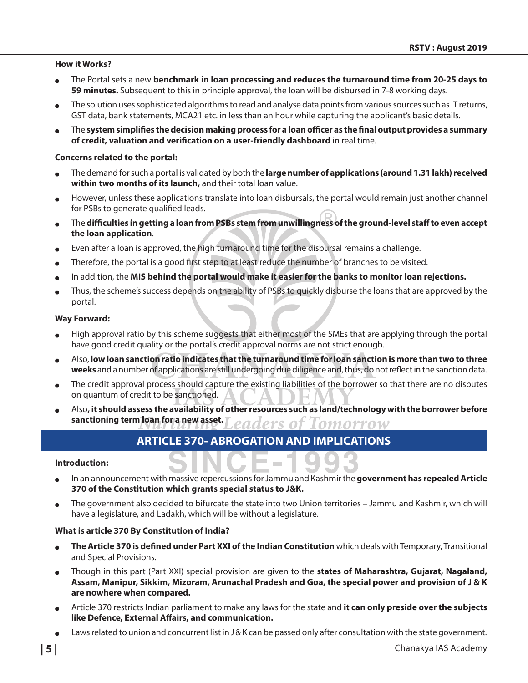#### **How it Works?**

- The Portal sets a new **benchmark in loan processing and reduces the turnaround time from 20-25 days to 59 minutes.** Subsequent to this in principle approval, the loan will be disbursed in 7-8 working days.
- The solution uses sophisticated algorithms to read and analyse data points from various sources such as IT returns, GST data, bank statements, MCA21 etc. in less than an hour while capturing the applicant's basic details.
- <sup>O</sup> The **system simplifies the decision making process for a loan officer as the final output provides a summary of credit, valuation and verification on a user-friendly dashboard** in real time.

#### **Concerns related to the portal:**

- <sup>O</sup> The demand for such a portal is validated by both the **large number of applications (around 1.31 lakh) received within two months of its launch,** and their total loan value.
- However, unless these applications translate into loan disbursals, the portal would remain just another channel for PSBs to generate qualified leads.
- <sup>O</sup> The **difficulties in getting a loan from PSBs stem from unwillingness of the ground-level staff to even accept the loan application**.
- Even after a loan is approved, the high turnaround time for the disbursal remains a challenge.
- Therefore, the portal is a good first step to at least reduce the number of branches to be visited.
- In addition, the **MIS behind the portal would make it easier for the banks to monitor loan rejections.**
- Thus, the scheme's success depends on the ability of PSBs to quickly disburse the loans that are approved by the portal.

#### **Way Forward:**

- High approval ratio by this scheme suggests that either most of the SMEs that are applying through the portal have good credit quality or the portal's credit approval norms are not strict enough.
- <sup>O</sup> Also, **low loan sanction ratio indicates that the turnaround time for loan sanction is more than two to three weeks** and a number of applications are still undergoing due diligence and, thus, do not reflect in the sanction data.
- The credit approval process should capture the existing liabilities of the borrower so that there are no disputes on quantum of credit to be sanctioned.
- <sup>O</sup> Also**, it should assess the availability of other resources such as land/technology with the borrower before sanctioning term loan for a new asset.**

# **ARTICLE 370- ABROGATION AND IMPLICATIONS**

#### **Introduction:**

- <sup>O</sup> In an announcement with massive repercussions for Jammu and Kashmir the **government has repealed Article 370 of the Constitution which grants special status to J&K.**
- The government also decided to bifurcate the state into two Union territories Jammu and Kashmir, which will have a legislature, and Ladakh, which will be without a legislature.

#### **What is article 370 By Constitution of India?**

- <sup>O</sup> **The Article 370 is defined under Part XXI of the Indian Constitution** which deals with Temporary, Transitional and Special Provisions.
- <sup>O</sup> Though in this part (Part XXI) special provision are given to the **states of Maharashtra, Gujarat, Nagaland, Assam, Manipur, Sikkim, Mizoram, Arunachal Pradesh and Goa, the special power and provision of J & K are nowhere when compared.**
- Article 370 restricts Indian parliament to make any laws for the state and it can only preside over the subjects **like Defence, External Affairs, and communication.**
- $\bullet$  Laws related to union and concurrent list in J & K can be passed only after consultation with the state government.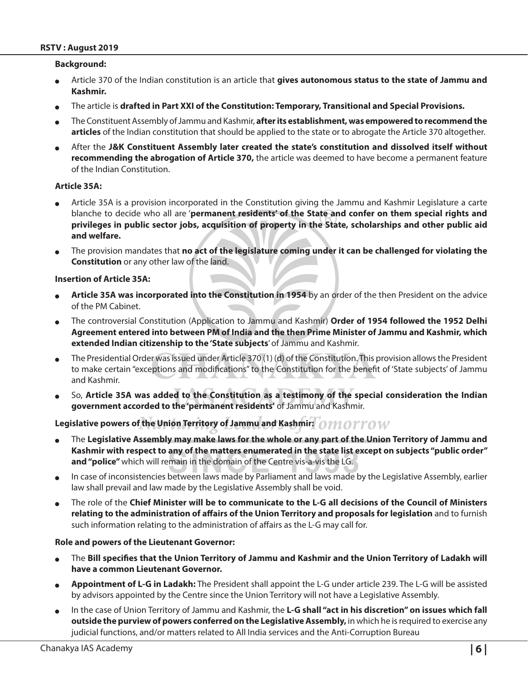#### **Background:**

- Article 370 of the Indian constitution is an article that gives autonomous status to the state of Jammu and **Kashmir.**
- <sup>O</sup> The article is **drafted in Part XXI of the Constitution: Temporary, Transitional and Special Provisions.**
- <sup>O</sup> The Constituent Assembly of Jammu and Kashmir, **after its establishment, was empowered to recommend the articles** of the Indian constitution that should be applied to the state or to abrogate the Article 370 altogether.
- <sup>O</sup> After the **J&K Constituent Assembly later created the state's constitution and dissolved itself without recommending the abrogation of Article 370,** the article was deemed to have become a permanent feature of the Indian Constitution.

#### **Article 35A:**

- Article 35A is a provision incorporated in the Constitution giving the Jammu and Kashmir Legislature a carte blanche to decide who all are '**permanent residents' of the State and confer on them special rights and privileges in public sector jobs, acquisition of property in the State, scholarships and other public aid and welfare.**
- The provision mandates that **no act of the legislature coming under it can be challenged for violating the Constitution** or any other law of the land.

#### **Insertion of Article 35A:**

- Article 35A was incorporated into the Constitution in 1954 by an order of the then President on the advice of the PM Cabinet.
- <sup>O</sup> The controversial Constitution (Application to Jammu and Kashmir) **Order of 1954 followed the 1952 Delhi Agreement entered into between PM of India and the then Prime Minister of Jammu and Kashmir, which extended Indian citizenship to the 'State subjects**' of Jammu and Kashmir.
- $\bullet$  The Presidential Order was issued under Article 370 (1) (d) of the Constitution. This provision allows the President to make certain "exceptions and modifications" to the Constitution for the benefit of 'State subjects' of Jammu and Kashmir.
- <sup>O</sup> So, **Article 35A was added to the Constitution as a testimony of the special consideration the Indian government accorded to the 'permanent residents'** of Jammu and Kashmir.

### **Legislative powers of the Union Territory of Jammu and Kashmir:**

- The Legislative Assembly may make laws for the whole or any part of the Union Territory of Jammu and **Kashmir with respect to any of the matters enumerated in the state list except on subjects "public order" and "police"** which will remain in the domain of the Centre vis-a-vis the LG.
- In case of inconsistencies between laws made by Parliament and laws made by the Legislative Assembly, earlier law shall prevail and law made by the Legislative Assembly shall be void.
- <sup>O</sup> The role of the **Chief Minister will be to communicate to the L-G all decisions of the Council of Ministers relating to the administration of affairs of the Union Territory and proposals for legislation** and to furnish such information relating to the administration of affairs as the L-G may call for.

#### **Role and powers of the Lieutenant Governor:**

- <sup>O</sup> The **Bill specifies that the Union Territory of Jammu and Kashmir and the Union Territory of Ladakh will have a common Lieutenant Governor.**
- Appointment of L-G in Ladakh: The President shall appoint the L-G under article 239. The L-G will be assisted by advisors appointed by the Centre since the Union Territory will not have a Legislative Assembly.
- In the case of Union Territory of Jammu and Kashmir, the **L-G shall "act in his discretion" on issues which fall outside the purview of powers conferred on the Legislative Assembly,** in which he is required to exercise any judicial functions, and/or matters related to All India services and the Anti-Corruption Bureau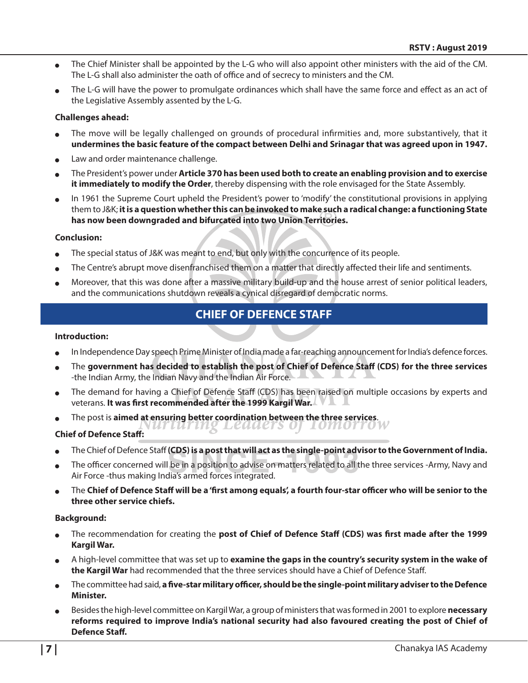- The Chief Minister shall be appointed by the L-G who will also appoint other ministers with the aid of the CM. The L-G shall also administer the oath of office and of secrecy to ministers and the CM.
- The L-G will have the power to promulgate ordinances which shall have the same force and effect as an act of the Legislative Assembly assented by the L-G.

#### **Challenges ahead:**

- The move will be legally challenged on grounds of procedural infirmities and, more substantively, that it **undermines the basic feature of the compact between Delhi and Srinagar that was agreed upon in 1947.**
- Law and order maintenance challenge.
- <sup>O</sup> The President's power under **Article 370 has been used both to create an enabling provision and to exercise it immediately to modify the Order**, thereby dispensing with the role envisaged for the State Assembly.
- In 1961 the Supreme Court upheld the President's power to 'modify' the constitutional provisions in applying them to J&K; **it is a question whether this can be invoked to make such a radical change: a functioning State has now been downgraded and bifurcated into two Union Territories.**

#### **Conclusion:**

- The special status of J&K was meant to end, but only with the concurrence of its people.
- The Centre's abrupt move disenfranchised them on a matter that directly affected their life and sentiments.
- Moreover, that this was done after a massive military build-up and the house arrest of senior political leaders, and the communications shutdown reveals a cynical disregard of democratic norms.

# **CHIEF OF DEFENCE STAFF**

#### **Introduction:**

- In Independence Day speech Prime Minister of India made a far-reaching announcement for India's defence forces.
- <sup>O</sup> The **government has decided to establish the post of Chief of Defence Staff (CDS) for the three services** -the Indian Army, the Indian Navy and the Indian Air Force.
- The demand for having a Chief of Defence Staff (CDS) has been raised on multiple occasions by experts and veterans. **It was first recommended after the 1999 Kargil War.**
- The post is **aimed at ensuring better coordination between the three services**.<br>NUT LUT LIQ LEAAETS OF LOTIOTTOW

#### **Chief of Defence Staff:**

- The Chief of Defence Staff (CDS) is a post that will act as the single-point advisor to the Government of India.
- The officer concerned will be in a position to advise on matters related to all the three services -Army, Navy and Air Force -thus making India's armed forces integrated.
- <sup>O</sup> The **Chief of Defence Staff will be a 'first among equals', a fourth four-star officer who will be senior to the three other service chiefs.**

#### **Background:**

- <sup>O</sup> The recommendation for creating the **post of Chief of Defence Staff (CDS) was first made after the 1999 Kargil War.**
- <sup>O</sup> A high-level committee that was set up to **examine the gaps in the country's security system in the wake of the Kargil War** had recommended that the three services should have a Chief of Defence Staff.
- <sup>O</sup> The committee had said, **a five-star military officer, should be the single-point military adviser to the Defence Minister.**
- <sup>O</sup> Besides the high-level committee on Kargil War, a group of ministers that was formed in 2001 to explore **necessary reforms required to improve India's national security had also favoured creating the post of Chief of Defence Staff.**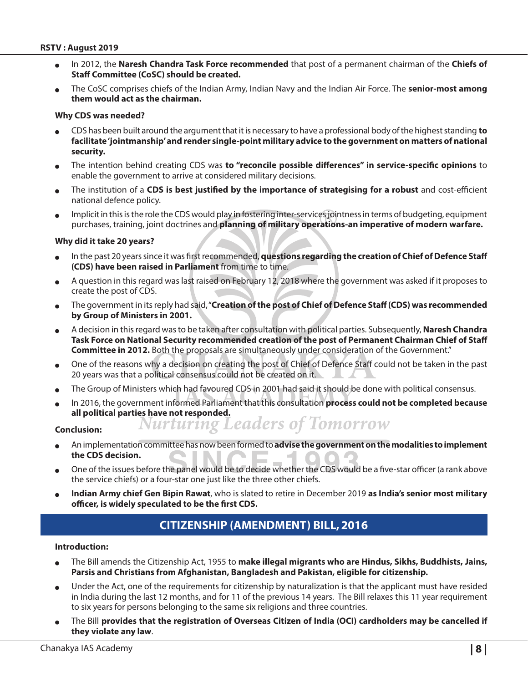- In 2012, the **Naresh Chandra Task Force recommended** that post of a permanent chairman of the Chiefs of **Staff Committee (CoSC) should be created.**
- <sup>O</sup> The CoSC comprises chiefs of the Indian Army, Indian Navy and the Indian Air Force. The **senior-most among them would act as the chairman.**

#### **Why CDS was needed?**

- <sup>O</sup> CDS has been built around the argument that it is necessary to have a professional body of the highest standing **to facilitate 'jointmanship' and render single-point military advice to the government on matters of national security.**
- <sup>O</sup> The intention behind creating CDS was **to "reconcile possible differences" in service-specific opinions** to enable the government to arrive at considered military decisions.
- The institution of a CDS is best justified by the importance of strategising for a robust and cost-efficient national defence policy.
- $\bullet$  Implicit in this is the role the CDS would play in fostering inter-services jointness in terms of budgeting, equipment purchases, training, joint doctrines and **planning of military operations-an imperative of modern warfare.**

#### **Why did it take 20 years?**

- In the past 20 years since it was first recommended, questions regarding the creation of Chief of Defence Staff **(CDS) have been raised in Parliament** from time to time.
- A question in this regard was last raised on February 12, 2018 where the government was asked if it proposes to create the post of CDS.
- <sup>O</sup> The government in its reply had said, "**Creation of the post of Chief of Defence Staff (CDS) was recommended by Group of Ministers in 2001.**
- <sup>O</sup> A decision in this regard was to be taken after consultation with political parties. Subsequently, **Naresh Chandra Task Force on National Security recommended creation of the post of Permanent Chairman Chief of Staff Committee in 2012.** Both the proposals are simultaneously under consideration of the Government."
- One of the reasons why a decision on creating the post of Chief of Defence Staff could not be taken in the past 20 years was that a political consensus could not be created on it.
- The Group of Ministers which had favoured CDS in 2001 had said it should be done with political consensus.
- In 2016, the government informed Parliament that this consultation **process could not be completed because** all political parties have not responded.<br> **Clusion:** Nurturing Leaders of Tomorrow

**Conclusion:**

- <sup>O</sup> An implementation committee has now been formed to **advise the government on the modalities to implement the CDS decision.**
- <sup>O</sup> One of the issues before the panel would be to decide whether the CDS would be a five-star officer (a rank above the service chiefs) or a four-star one just like the three other chiefs.
- Indian Army chief Gen Bipin Rawat, who is slated to retire in December 2019 as India's senior most military **officer, is widely speculated to be the first CDS.**

# **CITIZENSHIP (AMENDMENT) BILL, 2016**

#### **Introduction:**

- <sup>O</sup> The Bill amends the Citizenship Act, 1955 to **make illegal migrants who are Hindus, Sikhs, Buddhists, Jains, Parsis and Christians from Afghanistan, Bangladesh and Pakistan, eligible for citizenship.**
- Under the Act, one of the requirements for citizenship by naturalization is that the applicant must have resided in India during the last 12 months, and for 11 of the previous 14 years. The Bill relaxes this 11 year requirement to six years for persons belonging to the same six religions and three countries.
- <sup>O</sup> The Bill **provides that the registration of Overseas Citizen of India (OCI) cardholders may be cancelled if they violate any law**.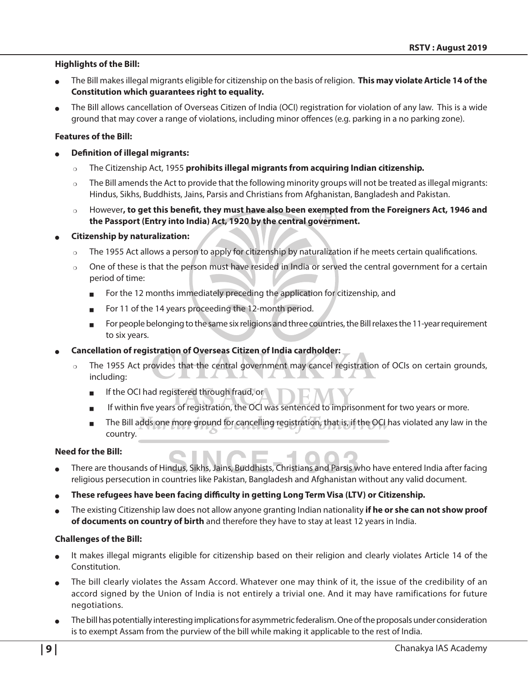#### **Highlights of the Bill:**

- <sup>O</sup> The Bill makes illegal migrants eligible for citizenship on the basis of religion. **This may violate Article 14 of the Constitution which guarantees right to equality.**
- The Bill allows cancellation of Overseas Citizen of India (OCI) registration for violation of any law. This is a wide ground that may cover a range of violations, including minor offences (e.g. parking in a no parking zone).

#### **Features of the Bill:**

- <sup>O</sup> **Definition of illegal migrants:**
	- $\circ$  The Citizenship Act, 1955 **prohibits illegal migrants from acquiring Indian citizenship.**
	- $\circ$  The Bill amends the Act to provide that the following minority groups will not be treated as illegal migrants: Hindus, Sikhs, Buddhists, Jains, Parsis and Christians from Afghanistan, Bangladesh and Pakistan.
	- **P However, to get this benefit, they must have also been exempted from the Foreigners Act, 1946 and the Passport (Entry into India) Act, 1920 by the central government.**

#### **Citizenship by naturalization:**

- The 1955 Act allows a person to apply for citizenship by naturalization if he meets certain qualifications.
- $\circ$  One of these is that the person must have resided in India or served the central government for a certain period of time:
	- For the 12 months immediately preceding the application for citizenship, and
	- For 11 of the 14 years proceeding the 12-month period.
	- $\blacksquare$  For people belonging to the same six religions and three countries, the Bill relaxes the 11-year requirement to six years.
- Cancellation of registration of Overseas Citizen of India cardholder:
	- $\circ$  The 1955 Act provides that the central government may cancel registration of OCIs on certain grounds, including:
		- $\blacksquare$  If the OCI had registered through fraud, or
		- If within five years of registration, the OCI was sentenced to imprisonment for two years or more.
		- The Bill adds one more ground for cancelling registration, that is, if the OCI has violated any law in the country.

#### **Need for the Bill:**

- There are thousands of Hindus, Sikhs, Jains, Buddhists, Christians and Parsis who have entered India after facing religious persecution in countries like Pakistan, Bangladesh and Afghanistan without any valid document.
- <sup>O</sup> **These refugees have been facing difficulty in getting Long Term Visa (LTV) or Citizenship.**
- <sup>O</sup> The existing Citizenship law does not allow anyone granting Indian nationality **if he or she can not show proof of documents on country of birth** and therefore they have to stay at least 12 years in India.

#### **Challenges of the Bill:**

- It makes illegal migrants eligible for citizenship based on their religion and clearly violates Article 14 of the Constitution.
- The bill clearly violates the Assam Accord. Whatever one may think of it, the issue of the credibility of an accord signed by the Union of India is not entirely a trivial one. And it may have ramifications for future negotiations.
- The bill has potentially interesting implications for asymmetric federalism. One of the proposals under consideration is to exempt Assam from the purview of the bill while making it applicable to the rest of India.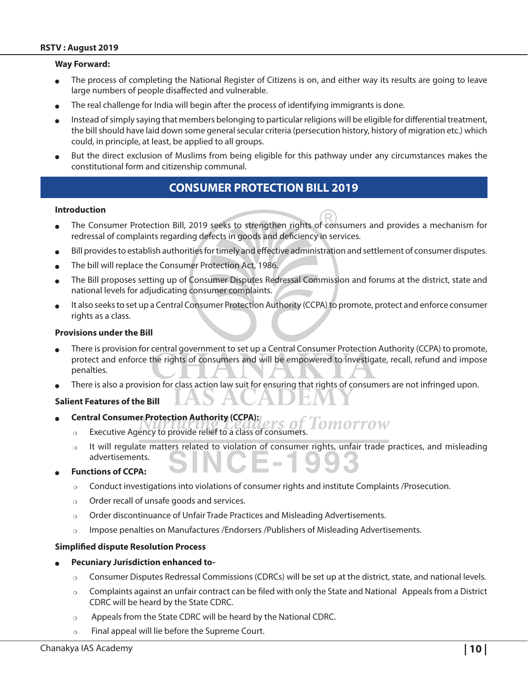#### **Way Forward:**

- The process of completing the National Register of Citizens is on, and either way its results are going to leave large numbers of people disaffected and vulnerable.
- The real challenge for India will begin after the process of identifying immigrants is done.
- Instead of simply saying that members belonging to particular religions will be eligible for differential treatment, the bill should have laid down some general secular criteria (persecution history, history of migration etc.) which could, in principle, at least, be applied to all groups.
- But the direct exclusion of Muslims from being eligible for this pathway under any circumstances makes the constitutional form and citizenship communal.

# **CONSUMER PROTECTION BILL 2019**

#### **Introduction**

- The Consumer Protection Bill, 2019 seeks to strengthen rights of consumers and provides a mechanism for redressal of complaints regarding defects in goods and deficiency in services.
- Bill provides to establish authorities for timely and effective administration and settlement of consumer disputes.
- The bill will replace the Consumer Protection Act, 1986.
- The Bill proposes setting up of Consumer Disputes Redressal Commission and forums at the district, state and national levels for adjudicating consumer complaints.
- It also seeks to set up a Central Consumer Protection Authority (CCPA) to promote, protect and enforce consumer rights as a class.

#### **Provisions under the Bill**

- There is provision for central government to set up a Central Consumer Protection Authority (CCPA) to promote, protect and enforce the rights of consumers and will be empowered to investigate, recall, refund and impose penalties.
- There is also a provision for class action law suit for ensuring that rights of consumers are not infringed upon.

#### **Salient Features of the Bill**

- **Central Consumer Protection Authority (CCPA):** 
	- Iomorrow  $\circ$  Executive Agency to provide relief to a class of consumers.
	- $\circ$  It will regulate matters related to violation of consumer rights, unfair trade practices, and misleading advertisements.
- **Functions of CCPA:** 
	- $\circ$  Conduct investigations into violations of consumer rights and institute Complaints / Prosecution.
	- $\circ$  Order recall of unsafe goods and services.
	- $\circ$  Order discontinuance of Unfair Trade Practices and Misleading Advertisements.
	- $\circ$  Impose penalties on Manufactures /Endorsers /Publishers of Misleading Advertisements.

#### **Simplified dispute Resolution Process**

#### **Pecuniary Jurisdiction enhanced to-**

- $\circ$  Consumer Disputes Redressal Commissions (CDRCs) will be set up at the district, state, and national levels.
- $\circ$  Complaints against an unfair contract can be filed with only the State and National Appeals from a District CDRC will be heard by the State CDRC.
- $\circ$  Appeals from the State CDRC will be heard by the National CDRC.
- Final appeal will lie before the Supreme Court.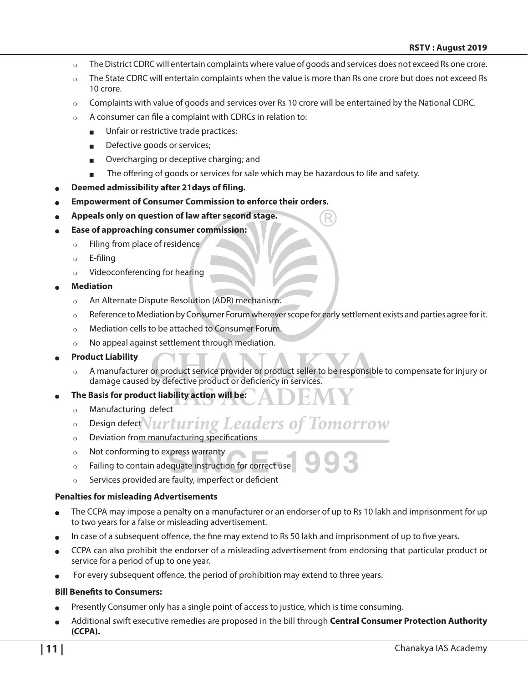- $\circ$  The District CDRC will entertain complaints where value of goods and services does not exceed Rs one crore.
- $\circ$  The State CDRC will entertain complaints when the value is more than Rs one crore but does not exceed Rs 10 crore.
- $\circ$  Complaints with value of goods and services over Rs 10 crore will be entertained by the National CDRC.
- A consumer can file a complaint with CDRCs in relation to:
	- Unfair or restrictive trade practices;
	- Defective goods or services;
	- <sup>Q</sup> Overcharging or deceptive charging; and
	- The offering of goods or services for sale which may be hazardous to life and safety.
- <sup>O</sup> **Deemed admissibility after 21days of filing.**
- **Empowerment of Consumer Commission to enforce their orders.**
- Appeals only on question of law after second stage.
- **Ease of approaching consumer commission:** 
	- $\circ$  Filing from place of residence
	- $\circ$  E-filing
	- $\circ$  Videoconferencing for hearing
- **Mediation** 
	- o An Alternate Dispute Resolution (ADR) mechanism.
	- $\circ$  Reference to Mediation by Consumer Forum wherever scope for early settlement exists and parties agree for it.
	- $\circ$  Mediation cells to be attached to Consumer Forum.
	- $\circ$  No appeal against settlement through mediation.
- **Product Liability** 
	- o A manufacturer or product service provider or product seller to be responsible to compensate for injury or damage caused by defective product or deficiency in services.
- The Basis for product liability action will be:
	- $\circ$  Manufacturing defect
	- <sup>P</sup> Design defect omorrow
	- $\circ$  Deviation from manufacturing specifications
	- $\circ$  Not conforming to express warranty
	- $\circ$  Failing to contain adequate instruction for correct use
	- $\circ$  Services provided are faulty, imperfect or deficient

#### **Penalties for misleading Advertisements**

- The CCPA may impose a penalty on a manufacturer or an endorser of up to Rs 10 lakh and imprisonment for up to two years for a false or misleading advertisement.
- In case of a subsequent offence, the fine may extend to Rs 50 lakh and imprisonment of up to five years.
- <sup>O</sup> CCPA can also prohibit the endorser of a misleading advertisement from endorsing that particular product or service for a period of up to one year.
- For every subsequent offence, the period of prohibition may extend to three years.

#### **Bill Benefits to Consumers:**

- Presently Consumer only has a single point of access to justice, which is time consuming.
- <sup>O</sup> Additional swift executive remedies are proposed in the bill through **Central Consumer Protection Authority (CCPA).**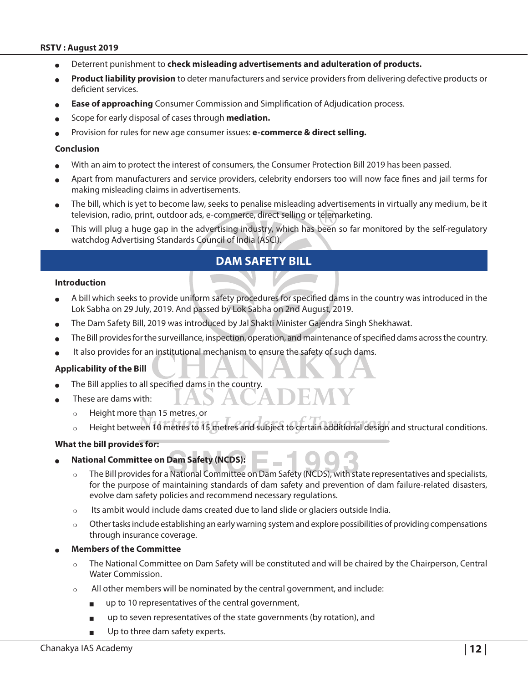- <sup>O</sup> Deterrent punishment to **check misleading advertisements and adulteration of products.**
- Product liability provision to deter manufacturers and service providers from delivering defective products or deficient services.
- **Ease of approaching** Consumer Commission and Simplification of Adjudication process.
- Scope for early disposal of cases through **mediation.**
- Provision for rules for new age consumer issues: **e-commerce & direct selling.**

#### **Conclusion**

- With an aim to protect the interest of consumers, the Consumer Protection Bill 2019 has been passed.
- Apart from manufacturers and service providers, celebrity endorsers too will now face fines and jail terms for making misleading claims in advertisements.
- The bill, which is yet to become law, seeks to penalise misleading advertisements in virtually any medium, be it television, radio, print, outdoor ads, e-commerce, direct selling or telemarketing.
- This will plug a huge gap in the advertising industry, which has been so far monitored by the self-regulatory watchdog Advertising Standards Council of India (ASCI).

# **DAM SAFETY BILL**

#### **Introduction**

- A bill which seeks to provide uniform safety procedures for specified dams in the country was introduced in the Lok Sabha on 29 July, 2019. And passed by Lok Sabha on 2nd August, 2019.
- The Dam Safety Bill, 2019 was introduced by Jal Shakti Minister Gajendra Singh Shekhawat.
- The Bill provides for the surveillance, inspection, operation, and maintenance of specified dams across the country.
- It also provides for an institutional mechanism to ensure the safety of such dams.

#### **Applicability of the Bill**

- The Bill applies to all specified dams in the country.
- These are dams with:
	- $\circ$  Height more than 15 metres, or
	- o Height between 10 metres to 15 metres and subject to certain additional design and structural conditions.

#### **What the bill provides for:**

- **National Committee on Dam Safety (NCDS):** 
	- o The Bill provides for a National Committee on Dam Safety (NCDS), with state representatives and specialists, for the purpose of maintaining standards of dam safety and prevention of dam failure-related disasters, evolve dam safety policies and recommend necessary regulations.
	- $\circ$  Its ambit would include dams created due to land slide or glaciers outside India.
	- $\circ$  Other tasks include establishing an early warning system and explore possibilities of providing compensations through insurance coverage.
- **Members of the Committee** 
	- $\circ$  The National Committee on Dam Safety will be constituted and will be chaired by the Chairperson, Central Water Commission.
	- All other members will be nominated by the central government, and include:
		- $\Box$  up to 10 representatives of the central government,
		- up to seven representatives of the state governments (by rotation), and
		- Up to three dam safety experts.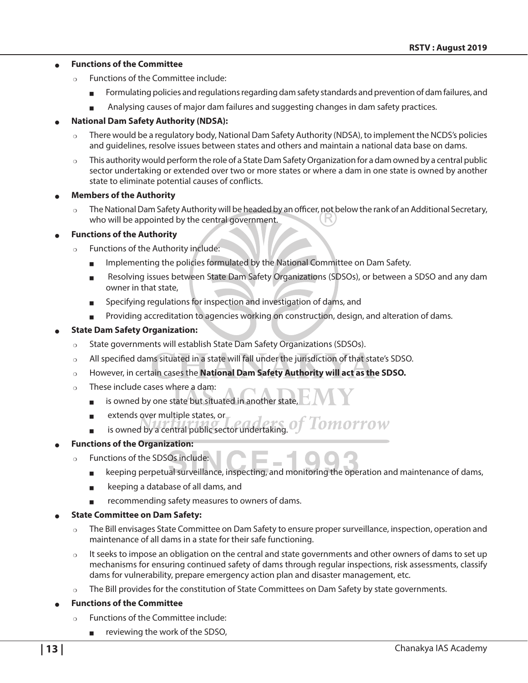#### **Functions of the Committee**

- $\circ$  Functions of the Committee include:
	- Formulating policies and regulations regarding dam safety standards and prevention of dam failures, and
	- **EXECUTE:** Analysing causes of major dam failures and suggesting changes in dam safety practices.

#### **National Dam Safety Authority (NDSA):**

- $\circ$  There would be a regulatory body, National Dam Safety Authority (NDSA), to implement the NCDS's policies and guidelines, resolve issues between states and others and maintain a national data base on dams.
- $\circ$  This authority would perform the role of a State Dam Safety Organization for a dam owned by a central public sector undertaking or extended over two or more states or where a dam in one state is owned by another state to eliminate potential causes of conflicts.

#### **Members of the Authority**

 $\circ$  The National Dam Safety Authority will be headed by an officer, not below the rank of an Additional Secretary, who will be appointed by the central government.

#### **Functions of the Authority**

- $\circ$  Functions of the Authority include:
	- Implementing the policies formulated by the National Committee on Dam Safety.
	- Resolving issues between State Dam Safety Organizations (SDSOs), or between a SDSO and any dam owner in that state,
	- Specifying regulations for inspection and investigation of dams, and
	- Providing accreditation to agencies working on construction, design, and alteration of dams.

#### **State Dam Safety Organization:**

- $\circ$  State governments will establish State Dam Safety Organizations (SDSOs).
- $\circ$  All specified dams situated in a state will fall under the jurisdiction of that state's SDSO.
- **Properser Authority Figure 1 and Taylor Series Authority will act as the SDSO.**
- $\circ$  These include cases where a dam:
	- $\blacksquare$  is owned by one state but situated in another state,
	- extends over multiple states, or
	- is owned by a central public sector undertaking. omorrow

#### **Functions of the Organization:**

- $\circ$  Functions of the SDSOs include:
	- keeping perpetual surveillance, inspecting, and monitoring the operation and maintenance of dams,
	- <sup>Q</sup> keeping a database of all dams, and
	- recommending safety measures to owners of dams.

#### **State Committee on Dam Safety:**

- $\circ$  The Bill envisages State Committee on Dam Safety to ensure proper surveillance, inspection, operation and maintenance of all dams in a state for their safe functioning.
- $\circ$  It seeks to impose an obligation on the central and state governments and other owners of dams to set up mechanisms for ensuring continued safety of dams through regular inspections, risk assessments, classify dams for vulnerability, prepare emergency action plan and disaster management, etc.
- $\circ$  The Bill provides for the constitution of State Committees on Dam Safety by state governments.

#### **Functions of the Committee**

- $\circ$  Functions of the Committee include:
	- reviewing the work of the SDSO,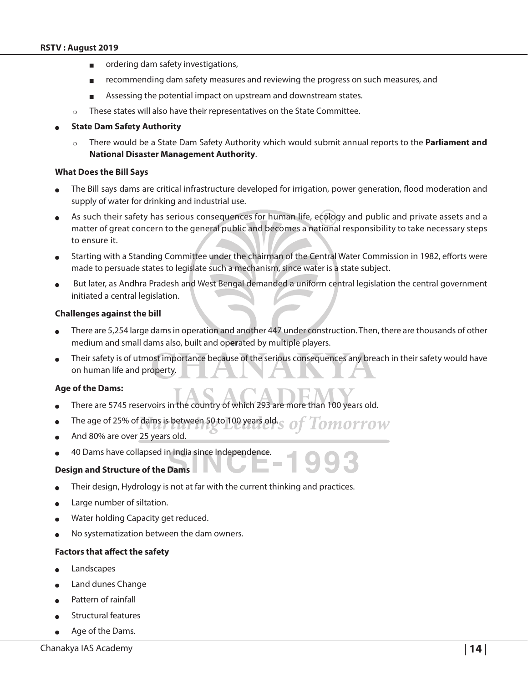- ordering dam safety investigations,
- $\Box$  recommending dam safety measures and reviewing the progress on such measures, and
- $\blacksquare$  Assessing the potential impact on upstream and downstream states.
- $\circ$  These states will also have their representatives on the State Committee.

#### **State Dam Safety Authority**

<sup>P</sup> There would be a State Dam Safety Authority which would submit annual reports to the **Parliament and National Disaster Management Authority**.

#### **What Does the Bill Says**

- The Bill says dams are critical infrastructure developed for irrigation, power generation, flood moderation and supply of water for drinking and industrial use.
- As such their safety has serious consequences for human life, ecology and public and private assets and a matter of great concern to the general public and becomes a national responsibility to take necessary steps to ensure it.
- <sup>O</sup> Starting with a Standing Committee under the chairman of the Central Water Commission in 1982, efforts were made to persuade states to legislate such a mechanism, since water is a state subject.
- But later, as Andhra Pradesh and West Bengal demanded a uniform central legislation the central government initiated a central legislation.

#### **Challenges against the bill**

- There are 5,254 large dams in operation and another 447 under construction. Then, there are thousands of other medium and small dams also, built and op**er**ated by multiple players.
- Their safety is of utmost importance because of the serious consequences any breach in their safety would have on human life and property.

#### **Age of the Dams:**

- There are 5745 reservoirs in the country of which 293 are more than 100 years old.
- The age of 25% of dams is between 50 to 100 years old. omorrow
- And 80% are over 25 years old.
- 40 Dams have collapsed in India since Independence.

#### **Design and Structure of the Dams**

- Their design, Hydrology is not at far with the current thinking and practices.
- Large number of siltation.
- Water holding Capacity get reduced.
- No systematization between the dam owners.

#### **Factors that affect the safety**

- Landscapes
- Land dunes Change
- Pattern of rainfall
- Structural features
- Age of the Dams.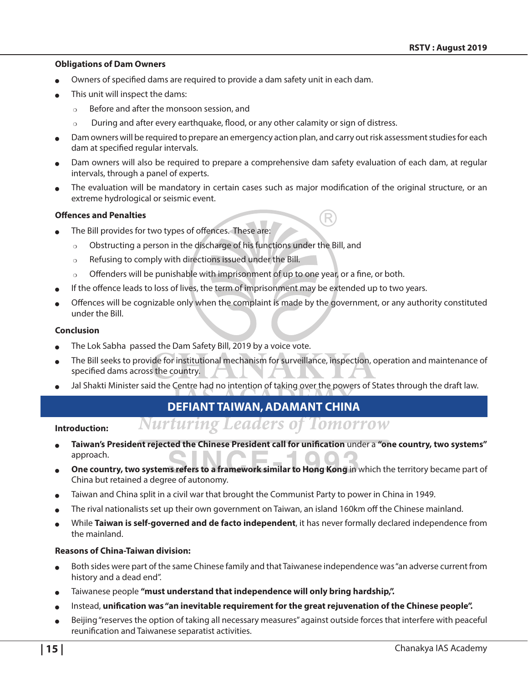#### **Obligations of Dam Owners**

- Owners of specified dams are required to provide a dam safety unit in each dam.
- This unit will inspect the dams:
	- $\circ$  Before and after the monsoon session, and
	- $\circ$  During and after every earthquake, flood, or any other calamity or sign of distress.
- Dam owners will be required to prepare an emergency action plan, and carry out risk assessment studies for each dam at specified regular intervals.
- Dam owners will also be required to prepare a comprehensive dam safety evaluation of each dam, at regular intervals, through a panel of experts.
- The evaluation will be mandatory in certain cases such as major modification of the original structure, or an extreme hydrological or seismic event.

#### **Offences and Penalties**

- The Bill provides for two types of offences. These are:
	- $\circ$  Obstructing a person in the discharge of his functions under the Bill, and
	- $\circ$  Refusing to comply with directions issued under the Bill.
	- $\circ$  Offenders will be punishable with imprisonment of up to one year, or a fine, or both.
- If the offence leads to loss of lives, the term of imprisonment may be extended up to two years.
- <sup>O</sup> Offences will be cognizable only when the complaint is made by the government, or any authority constituted under the Bill.

#### **Conclusion**

- The Lok Sabha passed the Dam Safety Bill, 2019 by a voice vote.
- The Bill seeks to provide for institutional mechanism for surveillance, inspection, operation and maintenance of specified dams across the country.
- Jal Shakti Minister said the Centre had no intention of taking over the powers of States through the draft law.

# **DEFIANT TAIWAN, ADAMANT CHINA**

**Nurturing Leaders of Tomorrow** 

#### **Introduction:**

- <sup>O</sup> **Taiwan's President rejected the Chinese President call for unification** under a **"one country, two systems"** approach.
- One country, two systems refers to a framework similar to Hong Kong in which the territory became part of China but retained a degree of autonomy.
- Taiwan and China split in a civil war that brought the Communist Party to power in China in 1949.
- The rival nationalists set up their own government on Taiwan, an island 160km off the Chinese mainland.
- While **Taiwan is self-governed and de facto independent**, it has never formally declared independence from the mainland.

#### **Reasons of China-Taiwan division:**

- Both sides were part of the same Chinese family and that Taiwanese independence was "an adverse current from history and a dead end".
- Taiwanese people "must understand that independence will only bring hardship,".
- Instead, **unification was "an inevitable requirement for the great rejuvenation of the Chinese people".**
- Beijing "reserves the option of taking all necessary measures" against outside forces that interfere with peaceful reunification and Taiwanese separatist activities.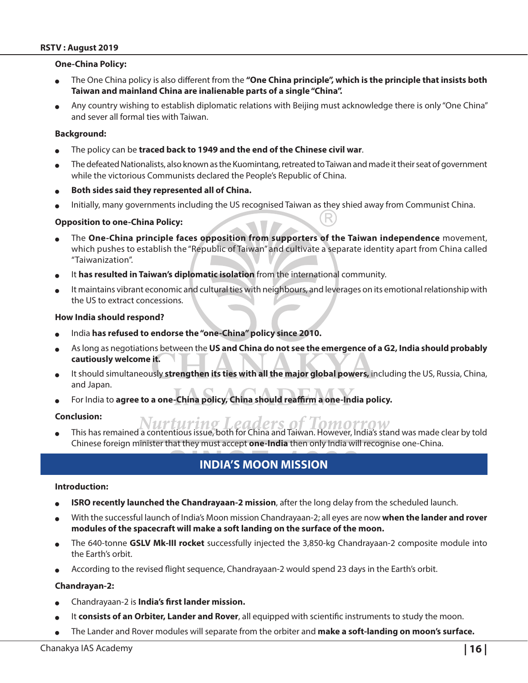#### **One-China Policy:**

- <sup>O</sup> The One China policy is also different from the **"One China principle", which is the principle that insists both Taiwan and mainland China are inalienable parts of a single "China".**
- Any country wishing to establish diplomatic relations with Beijing must acknowledge there is only "One China" and sever all formal ties with Taiwan.

#### **Background:**

- The policy can be **traced back to 1949 and the end of the Chinese civil war**.
- The defeated Nationalists, also known as the Kuomintang, retreated to Taiwan and made it their seat of government while the victorious Communists declared the People's Republic of China.
- Both sides said they represented all of China.
- Initially, many governments including the US recognised Taiwan as they shied away from Communist China.

#### **Opposition to one-China Policy:**

- <sup>O</sup> The **One-China principle faces opposition from supporters of the Taiwan independence** movement, which pushes to establish the "Republic of Taiwan" and cultivate a separate identity apart from China called "Taiwanization".
- It has resulted in Taiwan's diplomatic isolation from the international community.
- It maintains vibrant economic and cultural ties with neighbours, and leverages on its emotional relationship with the US to extract concessions.

#### **How India should respond?**

- <sup>O</sup> India **has refused to endorse the "one-China" policy since 2010.**
- As long as negotiations between the **US and China do not see the emergence of a G2, India should probably cautiously welcome it.**
- It should simultaneously strengthen its ties with all the major global powers, including the US, Russia, China, and Japan.
- For India to **agree to a one-China policy, China should reaffirm a one-India policy.**

#### **Conclusion:**

O THEORY CORRECTS OF TOMOTION ASSEMINATION TO THE THIS has remained a contentious issue, both for China and Taiwan. However, India's stand was made clear by told Chinese foreign minister that they must accept **one-India** then only India will recognise one-China.

# **INDIA'S MOON MISSION**

#### **Introduction:**

- **ISRO recently launched the Chandrayaan-2 mission**, after the long delay from the scheduled launch.
- <sup>O</sup> With the successful launch of India's Moon mission Chandrayaan-2; all eyes are now **when the lander and rover modules of the spacecraft will make a soft landing on the surface of the moon.**
- <sup>O</sup> The 640-tonne **GSLV Mk-III rocket** successfully injected the 3,850-kg Chandrayaan-2 composite module into the Earth's orbit.
- According to the revised flight sequence, Chandrayaan-2 would spend 23 days in the Earth's orbit.

#### **Chandrayan-2:**

- <sup>O</sup> Chandrayaan-2 is **India's first lander mission.**
- It **consists of an Orbiter, Lander and Rover**, all equipped with scientific instruments to study the moon.
- <sup>O</sup> The Lander and Rover modules will separate from the orbiter and **make a soft-landing on moon's surface.**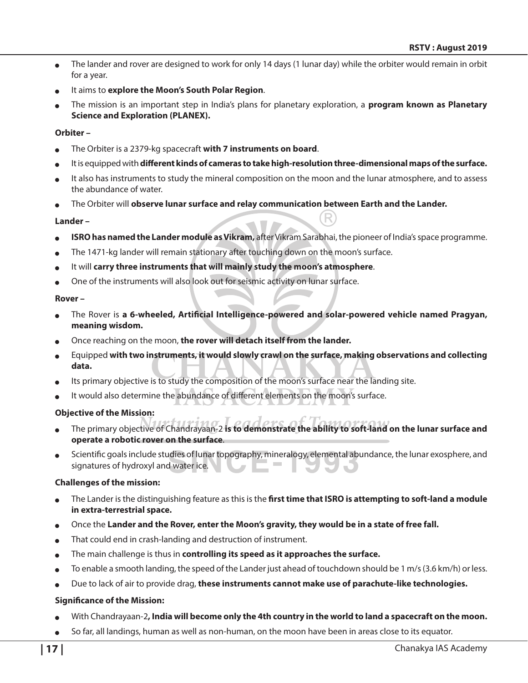- $\bullet$  The lander and rover are designed to work for only 14 days (1 lunar day) while the orbiter would remain in orbit for a year.
- It aims to *explore the Moon's South Polar Region*.
- <sup>O</sup> The mission is an important step in India's plans for planetary exploration, a **program known as Planetary Science and Exploration (PLANEX).**

#### **Orbiter –**

- The Orbiter is a 2379-kg spacecraft with 7 instruments on board.
- <sup>O</sup> It is equipped with **different kinds of cameras to take high-resolution three-dimensional maps of the surface.**
- It also has instruments to study the mineral composition on the moon and the lunar atmosphere, and to assess the abundance of water.
- <sup>O</sup> The Orbiter will **observe lunar surface and relay communication between Earth and the Lander.**

#### **Lander –**

- **ISRO has named the Lander module as Vikram**, after Vikram Sarabhai, the pioneer of India's space programme.
- The 1471-kg lander will remain stationary after touching down on the moon's surface.
- It will carry three instruments that will mainly study the moon's atmosphere.
- One of the instruments will also look out for seismic activity on lunar surface.

#### **Rover –**

- The Rover is a 6-wheeled, Artificial Intelligence-powered and solar-powered vehicle named Pragyan, **meaning wisdom.**
- Once reaching on the moon, the rover will detach itself from the lander.
- Equipped with two instruments, it would slowly crawl on the surface, making observations and collecting **data.**
- Its primary objective is to study the composition of the moon's surface near the landing site.
- It would also determine the abundance of different elements on the moon's surface.

#### **Objective of the Mission:**

- The primary objective of Chandrayaan-2 is to demonstrate the ability to soft-land on the lunar surface and **operate a robotic rover on the surface**.
- Scientific goals include studies of lunar topography, mineralogy, elemental abundance, the lunar exosphere, and signatures of hydroxyl and water ice.

#### **Challenges of the mission:**

- <sup>O</sup> The Lander is the distinguishing feature as this is the **first time that ISRO is attempting to soft-land a module in extra-terrestrial space.**
- <sup>O</sup> Once the **Lander and the Rover, enter the Moon's gravity, they would be in a state of free fall.**
- That could end in crash-landing and destruction of instrument.
- The main challenge is thus in **controlling its speed as it approaches the surface.**
- To enable a smooth landing, the speed of the Lander just ahead of touchdown should be 1 m/s (3.6 km/h) or less.
- Due to lack of air to provide drag, these instruments cannot make use of parachute-like technologies.

#### **Significance of the Mission:**

- With Chandrayaan-2, India will become only the 4th country in the world to land a spacecraft on the moon.
- So far, all landings, human as well as non-human, on the moon have been in areas close to its equator.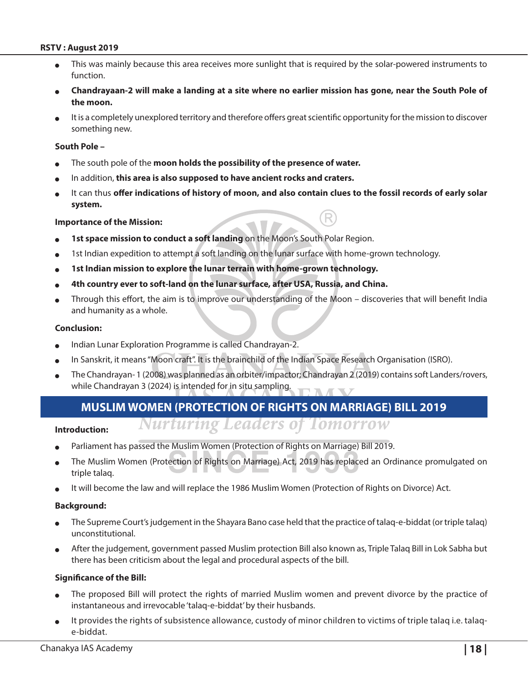- This was mainly because this area receives more sunlight that is required by the solar-powered instruments to function.
- <sup>O</sup> **Chandrayaan-2 will make a landing at a site where no earlier mission has gone, near the South Pole of the moon.**
- It is a completely unexplored territory and therefore offers great scientific opportunity for the mission to discover something new.

#### **South Pole –**

- The south pole of the **moon holds the possibility of the presence of water.**
- In addition, this area is also supposed to have ancient rocks and craters.
- It can thus offer indications of history of moon, and also contain clues to the fossil records of early solar **system.**

#### **Importance of the Mission:**

- **1st space mission to conduct a soft landing** on the Moon's South Polar Region.
- 1st Indian expedition to attempt a soft landing on the lunar surface with home-grown technology.
- <sup>O</sup> **1st Indian mission to explore the lunar terrain with home-grown technology.**
- <sup>O</sup> **4th country ever to soft-land on the lunar surface, after USA, Russia, and China.**
- Through this effort, the aim is to improve our understanding of the Moon discoveries that will benefit India and humanity as a whole.

#### **Conclusion:**

- Indian Lunar Exploration Programme is called Chandrayan-2.
- In Sanskrit, it means "Moon craft". It is the brainchild of the Indian Space Research Organisation (ISRO).
- The Chandrayan- 1 (2008) was planned as an orbiter/impactor; Chandrayan 2 (2019) contains soft Landers/rovers, while Chandrayan 3 (2024) is intended for in situ sampling.

# **MUSLIM WOMEN (PROTECTION OF RIGHTS ON MARRIAGE) BILL 2019**

#### **Introduction:**

Parliament has passed the Muslim Women (Protection of Rights on Marriage) Bill 2019.

Nurturing Leaders of

The Muslim Women (Protection of Rights on Marriage) Act, 2019 has replaced an Ordinance promulgated on triple talaq.

**Tomorrow** 

It will become the law and will replace the 1986 Muslim Women (Protection of Rights on Divorce) Act.

#### **Background:**

- The Supreme Court's judgement in the Shayara Bano case held that the practice of talaq-e-biddat (or triple talaq) unconstitutional.
- After the judgement, government passed Muslim protection Bill also known as, Triple Talaq Bill in Lok Sabha but there has been criticism about the legal and procedural aspects of the bill.

#### **Significance of the Bill:**

- The proposed Bill will protect the rights of married Muslim women and prevent divorce by the practice of instantaneous and irrevocable 'talaq-e-biddat' by their husbands.
- It provides the rights of subsistence allowance, custody of minor children to victims of triple talaq i.e. talaqe-biddat.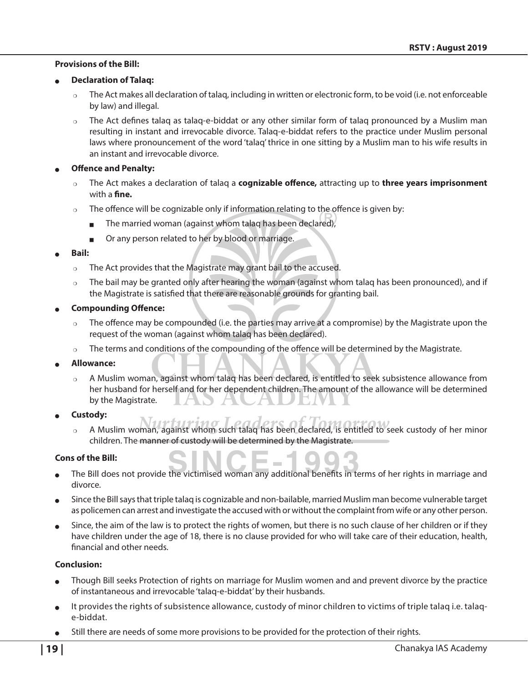#### **Provisions of the Bill:**

#### <sup>O</sup> **Declaration of Talaq:**

- $\circ$  The Act makes all declaration of talaq, including in written or electronic form, to be void (i.e. not enforceable by law) and illegal.
- $\circ$  The Act defines talaq as talaq-e-biddat or any other similar form of talaq pronounced by a Muslim man resulting in instant and irrevocable divorce. Talaq-e-biddat refers to the practice under Muslim personal laws where pronouncement of the word 'talaq' thrice in one sitting by a Muslim man to his wife results in an instant and irrevocable divorce.

#### **Offence and Penalty:**

- <sup>P</sup> The Act makes a declaration of talaq a **cognizable offence,** attracting up to **three years imprisonment** with a **fine.**
- $\circ$  The offence will be cognizable only if information relating to the offence is given by:
	- $\blacksquare$  The married woman (against whom talaq has been declared),
	- Or any person related to her by blood or marriage.

#### Bail:

- $\circ$  The Act provides that the Magistrate may grant bail to the accused.
- $\circ$  The bail may be granted only after hearing the woman (against whom talag has been pronounced), and if the Magistrate is satisfied that there are reasonable grounds for granting bail.
- **Compounding Offence:** 
	- $\circ$  The offence may be compounded (i.e. the parties may arrive at a compromise) by the Magistrate upon the request of the woman (against whom talaq has been declared).
	- $\circ$  The terms and conditions of the compounding of the offence will be determined by the Magistrate.
- <sup>O</sup> **Allowance:**
	- o A Muslim woman, against whom talaq has been declared, is entitled to seek subsistence allowance from her husband for herself and for her dependent children. The amount of the allowance will be determined by the Magistrate.

#### **Custody:**

<sup>P</sup> A Muslim woman, against whom such talaq has been declared, is entitled to seek custody of her minor children. The manner of custody will be determined by the Magistrate.

#### **Cons of the Bill:**

- The Bill does not provide the victimised woman any additional benefits in terms of her rights in marriage and divorce.
- <sup>O</sup> Since the Bill says that triple talaq is cognizable and non-bailable, married Muslim man become vulnerable target as policemen can arrest and investigate the accused with or without the complaint from wife or any other person.
- Since, the aim of the law is to protect the rights of women, but there is no such clause of her children or if they have children under the age of 18, there is no clause provided for who will take care of their education, health, financial and other needs.

#### **Conclusion:**

- Though Bill seeks Protection of rights on marriage for Muslim women and and prevent divorce by the practice of instantaneous and irrevocable 'talaq-e-biddat' by their husbands.
- It provides the rights of subsistence allowance, custody of minor children to victims of triple talaq i.e. talaqe-biddat.
- Still there are needs of some more provisions to be provided for the protection of their rights.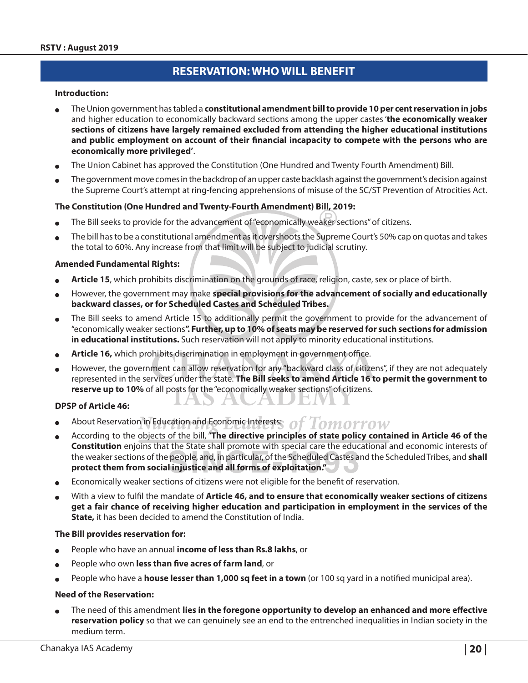# **RESERVATION: WHO WILL BENEFIT**

#### **Introduction:**

- <sup>O</sup> The Union government has tabled a **constitutional amendment bill to provide 10 per cent reservation in jobs**  and higher education to economically backward sections among the upper castes '**the economically weaker sections of citizens have largely remained excluded from attending the higher educational institutions and public employment on account of their financial incapacity to compete with the persons who are economically more privileged'**.
- The Union Cabinet has approved the Constitution (One Hundred and Twenty Fourth Amendment) Bill.
- The government move comes in the backdrop of an upper caste backlash against the government's decision against the Supreme Court's attempt at ring-fencing apprehensions of misuse of the SC/ST Prevention of Atrocities Act.

#### **The Constitution (One Hundred and Twenty-Fourth Amendment) Bill, 2019:**

- The Bill seeks to provide for the advancement of "economically weaker sections" of citizens.
- The bill has to be a constitutional amendment as it overshoots the Supreme Court's 50% cap on quotas and takes the total to 60%. Any increase from that limit will be subject to judicial scrutiny.

#### **Amended Fundamental Rights:**

- Article 15, which prohibits discrimination on the grounds of race, religion, caste, sex or place of birth.
- However, the government may make special provisions for the advancement of socially and educationally **backward classes, or for Scheduled Castes and Scheduled Tribes.**
- The Bill seeks to amend Article 15 to additionally permit the government to provide for the advancement of "economically weaker sections**". Further, up to 10% of seats may be reserved for such sections for admission in educational institutions.** Such reservation will not apply to minority educational institutions.
- Article 16, which prohibits discrimination in employment in government office.
- However, the government can allow reservation for any "backward class of citizens", if they are not adequately represented in the services under the state. **The Bill seeks to amend Article 16 to permit the government to reserve up to 10%** of all posts for the "economically weaker sections" of citizens.

#### **DPSP of Article 46:**

- About Reservation in Education and Economic Interests:  $of Tonorrow$
- <sup>O</sup> According to the objects of the bill, "**The directive principles of state policy contained in Article 46 of the Constitution** enjoins that the State shall promote with special care the educational and economic interests of the weaker sections of the people, and, in particular, of the Scheduled Castes and the Scheduled Tribes, and **shall protect them from social injustice and all forms of exploitation."**
- Economically weaker sections of citizens were not eligible for the benefit of reservation.
- <sup>O</sup> With a view to fulfil the mandate of **Article 46, and to ensure that economically weaker sections of citizens get a fair chance of receiving higher education and participation in employment in the services of the State,** it has been decided to amend the Constitution of India.

#### **The Bill provides reservation for:**

- People who have an annual *income of less than Rs.8 lakhs*, or
- People who own **less than five acres of farm land**, or
- People who have a **house lesser than 1,000 sq feet in a town** (or 100 sq yard in a notified municipal area).

#### **Need of the Reservation:**

<sup>O</sup> The need of this amendment **lies in the foregone opportunity to develop an enhanced and more effective reservation policy** so that we can genuinely see an end to the entrenched inequalities in Indian society in the medium term.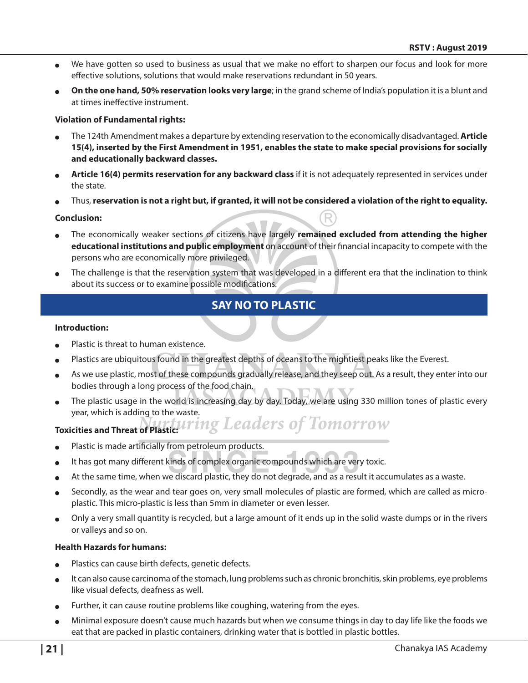- <sup>O</sup> We have gotten so used to business as usual that we make no effort to sharpen our focus and look for more effective solutions, solutions that would make reservations redundant in 50 years.
- <sup>O</sup> **On the one hand, 50% reservation looks very large**; in the grand scheme of India's population it is a blunt and at times ineffective instrument.

#### **Violation of Fundamental rights:**

- <sup>O</sup> The 124th Amendment makes a departure by extending reservation to the economically disadvantaged. **Article 15(4), inserted by the First Amendment in 1951, enables the state to make special provisions for socially and educationally backward classes.**
- Article 16(4) permits reservation for any backward class if it is not adequately represented in services under the state.
- <sup>O</sup> Thus, **reservation is not a right but, if granted, it will not be considered a violation of the right to equality.**

#### **Conclusion:**

- The economically weaker sections of citizens have largely **remained excluded from attending the higher educational institutions and public employment** on account of their financial incapacity to compete with the persons who are economically more privileged.
- The challenge is that the reservation system that was developed in a different era that the inclination to think about its success or to examine possible modifications.

# **SAY NO TO PLASTIC**

#### **Introduction:**

- Plastic is threat to human existence.
- Plastics are ubiquitous found in the greatest depths of oceans to the mightiest peaks like the Everest.
- As we use plastic, most of these compounds gradually release, and they seep out. As a result, they enter into our bodies through a long process of the food chain.
- The plastic usage in the world is increasing day by day. Today, we are using 330 million tones of plastic every year, which is adding to the waste.

# **Toxicities and Threat of Plastic:**

- $\bullet$  Plastic is made artificially from petroleum products.
- It has got many different kinds of complex organic compounds which are very toxic.
- At the same time, when we discard plastic, they do not degrade, and as a result it accumulates as a waste.
- Secondly, as the wear and tear goes on, very small molecules of plastic are formed, which are called as microplastic. This micro-plastic is less than 5mm in diameter or even lesser.
- <sup>O</sup> Only a very small quantity is recycled, but a large amount of it ends up in the solid waste dumps or in the rivers or valleys and so on.

#### **Health Hazards for humans:**

- Plastics can cause birth defects, genetic defects.
- <sup>O</sup> It can also cause carcinoma of the stomach, lung problems such as chronic bronchitis, skin problems, eye problems like visual defects, deafness as well.
- Further, it can cause routine problems like coughing, watering from the eyes.
- Minimal exposure doesn't cause much hazards but when we consume things in day to day life like the foods we eat that are packed in plastic containers, drinking water that is bottled in plastic bottles.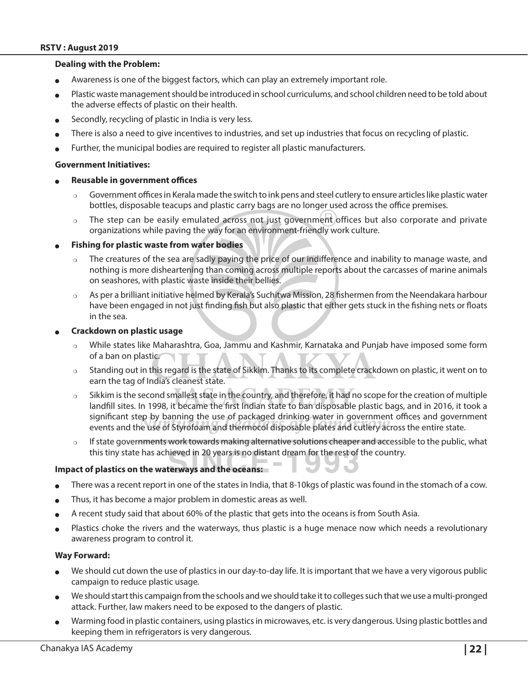#### **Dealing with the Problem:**

- Awareness is one of the biggest factors, which can play an extremely important role.
- Plastic waste management should be introduced in school curriculums, and school children need to be told about the adverse effects of plastic on their health.
- Secondly, recycling of plastic in India is very less.
- There is also a need to give incentives to industries, and set up industries that focus on recycling of plastic.
- Further, the municipal bodies are required to register all plastic manufacturers.

#### **Government Initiatives:**

#### <sup>O</sup> **Reusable in government offices**

- $\circ$  Government offices in Kerala made the switch to ink pens and steel cutlery to ensure articles like plastic water bottles, disposable teacups and plastic carry bags are no longer used across the office premises.
- $\circ$  The step can be easily emulated across not just government offices but also corporate and private organizations while paving the way for an environment-friendly work culture.

#### **Fishing for plastic waste from water bodies**

- $\circ$  The creatures of the sea are sadly paying the price of our indifference and inability to manage waste, and nothing is more disheartening than coming across multiple reports about the carcasses of marine animals on seashores, with plastic waste inside their bellies.
- As per a brilliant initiative helmed by Kerala's Suchitwa Mission, 28 fishermen from the Neendakara harbour have been engaged in not just finding fish but also plastic that either gets stuck in the fishing nets or floats in the sea.

#### <sup>O</sup> **Crackdown on plastic usage**

- $\circ$  While states like Maharashtra, Goa, Jammu and Kashmir, Karnataka and Punjab have imposed some form of a ban on plastic.
- Standing out in this regard is the state of Sikkim. Thanks to its complete crackdown on plastic, it went on to earn the tag of India's cleanest state.
- $\circ$  Sikkim is the second smallest state in the country, and therefore, it had no scope for the creation of multiple landfill sites. In 1998, it became the first Indian state to ban disposable plastic bags, and in 2016, it took a significant step by banning the use of packaged drinking water in government offices and government events and the use of Styrofoam and thermocol disposable plates and cutlery across the entire state.
- $\circ$  If state governments work towards making alternative solutions cheaper and accessible to the public, what this tiny state has achieved in 20 years is no distant dream for the rest of the country.

#### **Impact of plastics on the waterways and the oceans:**

- There was a recent report in one of the states in India, that 8-10kgs of plastic was found in the stomach of a cow.
- Thus, it has become a major problem in domestic areas as well.
- A recent study said that about 60% of the plastic that gets into the oceans is from South Asia.
- Plastics choke the rivers and the waterways, thus plastic is a huge menace now which needs a revolutionary awareness program to control it.

#### **Way Forward:**

- We should cut down the use of plastics in our day-to-day life. It is important that we have a very vigorous public campaign to reduce plastic usage.
- We should start this campaign from the schools and we should take it to colleges such that we use a multi-pronged attack. Further, law makers need to be exposed to the dangers of plastic.
- Warming food in plastic containers, using plastics in microwaves, etc. is very dangerous. Using plastic bottles and keeping them in refrigerators is very dangerous.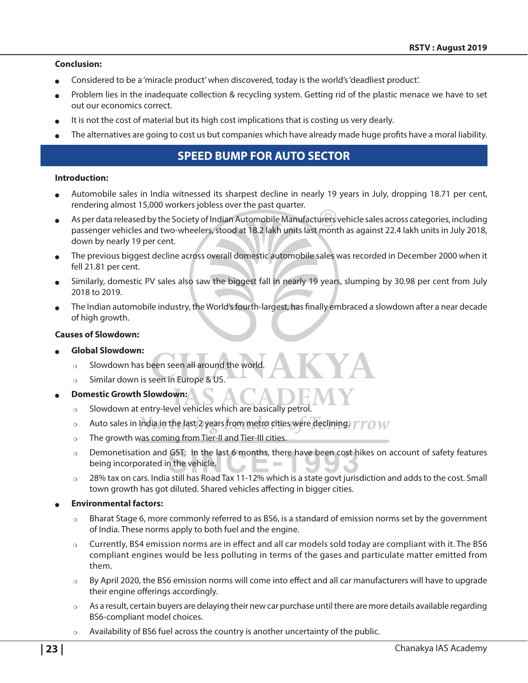#### **Conclusion:**

- Considered to be a 'miracle product' when discovered, today is the world's 'deadliest product'.
- Problem lies in the inadequate collection & recycling system. Getting rid of the plastic menace we have to set out our economics correct.
- It is not the cost of material but its high cost implications that is costing us very dearly.
- The alternatives are going to cost us but companies which have already made huge profits have a moral liability.

# **SPEED BUMP FOR AUTO SECTOR**

#### **Introduction:**

- Automobile sales in India witnessed its sharpest decline in nearly 19 years in July, dropping 18.71 per cent, rendering almost 15,000 workers jobless over the past quarter.
- As per data released by the Society of Indian Automobile Manufacturers vehicle sales across categories, including passenger vehicles and two-wheelers, stood at 18.2 lakh units last month as against 22.4 lakh units in July 2018, down by nearly 19 per cent.
- The previous biggest decline across overall domestic automobile sales was recorded in December 2000 when it fell 21.81 per cent.
- Similarly, domestic PV sales also saw the biggest fall in nearly 19 years, slumping by 30.98 per cent from July 2018 to 2019.
- The Indian automobile industry, the World's fourth-largest, has finally embraced a slowdown after a near decade of high growth.

#### **Causes of Slowdown:**

- <sup>O</sup> **Global Slowdown:**
	- $\circ$  Slowdown has been seen all around the world.
	- $\circ$  Similar down is seen in Europe & US.
- Domestic Growth Slowdown:
	- $\circ$  Slowdown at entry-level vehicles which are basically petrol.
	- $\circ$  Auto sales in India in the last 2 years from metro cities were declining.  $\mathcal{V} \mathcal{P} \cap \mathcal{W}$
	- $\circ$  The growth was coming from Tier-II and Tier-III cities.
	- $\circ$  Demonetisation and GST: In the last 6 months, there have been cost hikes on account of safety features being incorporated in the vehicle.  $\mathcal{L}_{\mathcal{A}}$
	- $\circ$  28% tax on cars. India still has Road Tax 11-12% which is a state govt jurisdiction and adds to the cost. Small town growth has got diluted. Shared vehicles affecting in bigger cities.

#### **Environmental factors:**

- Bharat Stage 6, more commonly referred to as BS6, is a standard of emission norms set by the government of India. These norms apply to both fuel and the engine.
- $\circ$  Currently, BS4 emission norms are in effect and all car models sold today are compliant with it. The BS6 compliant engines would be less polluting in terms of the gases and particulate matter emitted from them.
- $\circ$  By April 2020, the BS6 emission norms will come into effect and all car manufacturers will have to upgrade their engine offerings accordingly.
- $\circ$  As a result, certain buyers are delaying their new car purchase until there are more details available regarding BS6-compliant model choices.
- $\circ$  Availability of BS6 fuel across the country is another uncertainty of the public.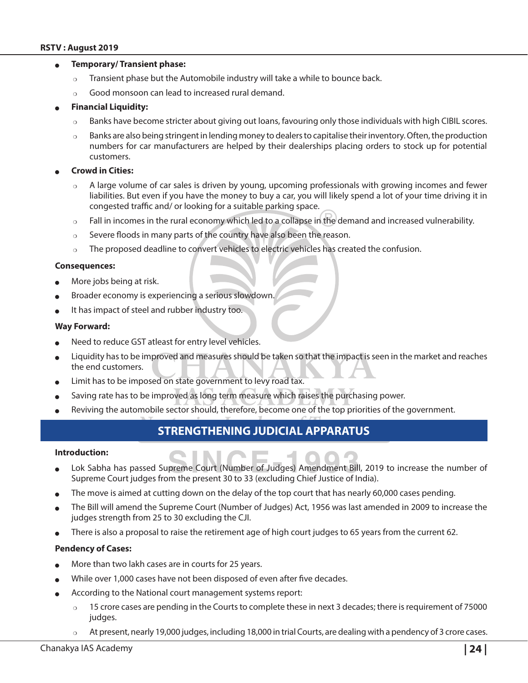#### **Temporary/ Transient phase:**

- $\circ$  Transient phase but the Automobile industry will take a while to bounce back.
- Good monsoon can lead to increased rural demand.

#### **Financial Liquidity:**

- $\circ$  Banks have become stricter about giving out loans, favouring only those individuals with high CIBIL scores.
- $\circ$  Banks are also being stringent in lending money to dealers to capitalise their inventory. Often, the production numbers for car manufacturers are helped by their dealerships placing orders to stock up for potential customers.

#### **Crowd in Cities:**

- $\circ$  A large volume of car sales is driven by young, upcoming professionals with growing incomes and fewer liabilities. But even if you have the money to buy a car, you will likely spend a lot of your time driving it in congested traffic and/ or looking for a suitable parking space.
- $\circ$  Fall in incomes in the rural economy which led to a collapse in the demand and increased vulnerability.
- $\circ$  Severe floods in many parts of the country have also been the reason.
- $\circ$  The proposed deadline to convert vehicles to electric vehicles has created the confusion.

#### **Consequences:**

- More jobs being at risk.
- Broader economy is experiencing a serious slowdown.
- It has impact of steel and rubber industry too.

#### **Way Forward:**

- Need to reduce GST atleast for entry level vehicles.
- Liquidity has to be improved and measures should be taken so that the impact is seen in the market and reaches the end customers.
- Limit has to be imposed on state government to levy road tax.
- Saving rate has to be improved as long term measure which raises the purchasing power.
- Reviving the automobile sector should, therefore, become one of the top priorities of the government.

# **STRENGTHENING JUDICIAL APPARATUS**

#### **Introduction:**

- Lok Sabha has passed Supreme Court (Number of Judges) Amendment Bill, 2019 to increase the number of Supreme Court judges from the present 30 to 33 (excluding Chief Justice of India).
- The move is aimed at cutting down on the delay of the top court that has nearly 60,000 cases pending.
- The Bill will amend the Supreme Court (Number of Judges) Act, 1956 was last amended in 2009 to increase the judges strength from 25 to 30 excluding the CJI.
- There is also a proposal to raise the retirement age of high court judges to 65 years from the current 62.

#### **Pendency of Cases:**

- More than two lakh cases are in courts for 25 years.
- While over 1,000 cases have not been disposed of even after five decades.
- According to the National court management systems report:
	- $\circ$  15 crore cases are pending in the Courts to complete these in next 3 decades; there is requirement of 75000 judges.
	- At present, nearly 19,000 judges, including 18,000 in trial Courts, are dealing with a pendency of 3 crore cases.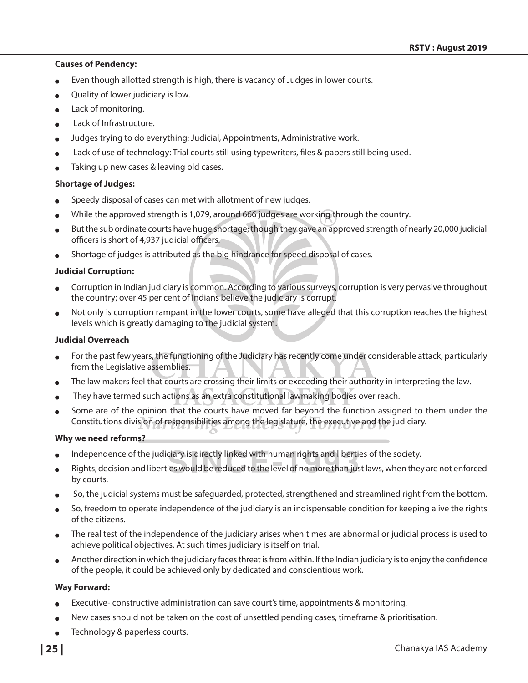#### **Causes of Pendency:**

- Even though allotted strength is high, there is vacancy of Judges in lower courts.
- Quality of lower judiciary is low.
- Lack of monitoring.
- Lack of Infrastructure.
- Judges trying to do everything: Judicial, Appointments, Administrative work.
- Lack of use of technology: Trial courts still using typewriters, files & papers still being used.
- Taking up new cases & leaving old cases.

#### **Shortage of Judges:**

- Speedy disposal of cases can met with allotment of new judges.
- While the approved strength is 1,079, around 666 judges are working through the country.
- But the sub ordinate courts have huge shortage; though they gave an approved strength of nearly 20,000 judicial officers is short of 4,937 judicial officers.
- Shortage of judges is attributed as the big hindrance for speed disposal of cases.

#### **Judicial Corruption:**

- Corruption in Indian judiciary is common. According to various surveys, corruption is very pervasive throughout the country; over 45 per cent of Indians believe the judiciary is corrupt.
- Not only is corruption rampant in the lower courts, some have alleged that this corruption reaches the highest levels which is greatly damaging to the judicial system.

#### **Judicial Overreach**

- For the past few years, the functioning of the Judiciary has recently come under considerable attack, particularly from the Legislative assemblies.
- The law makers feel that courts are crossing their limits or exceeding their authority in interpreting the law.
- They have termed such actions as an extra constitutional lawmaking bodies over reach.
- Some are of the opinion that the courts have moved far beyond the function assigned to them under the Constitutions division of responsibilities among the legislature, the executive and the judiciary.

#### **Why we need reforms?**

- Independence of the judiciary is directly linked with human rights and liberties of the society.
- Rights, decision and liberties would be reduced to the level of no more than just laws, when they are not enforced by courts.
- So, the judicial systems must be safeguarded, protected, strengthened and streamlined right from the bottom.
- So, freedom to operate independence of the judiciary is an indispensable condition for keeping alive the rights of the citizens.
- The real test of the independence of the judiciary arises when times are abnormal or judicial process is used to achieve political objectives. At such times judiciary is itself on trial.
- Another direction in which the judiciary faces threat is from within. If the Indian judiciary is to enjoy the confidence of the people, it could be achieved only by dedicated and conscientious work.

#### **Way Forward:**

- Executive- constructive administration can save court's time, appointments & monitoring.
- New cases should not be taken on the cost of unsettled pending cases, timeframe & prioritisation.
- $\bullet$  Technology & paperless courts.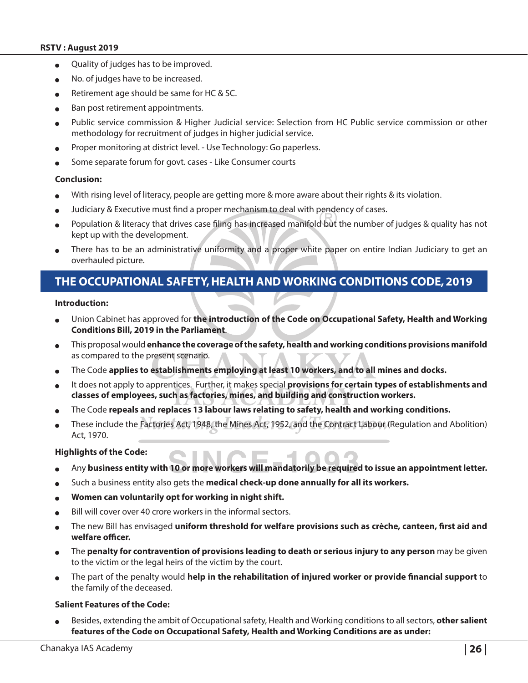- Quality of judges has to be improved.
- No. of judges have to be increased.
- $\bullet$  Retirement age should be same for HC & SC.
- Ban post retirement appointments.
- <sup>O</sup> Public service commission & Higher Judicial service: Selection from HC Public service commission or other methodology for recruitment of judges in higher judicial service.
- Proper monitoring at district level. Use Technology: Go paperless.
- Some separate forum for govt. cases Like Consumer courts

#### **Conclusion:**

- With rising level of literacy, people are getting more & more aware about their rights  $\&$  its violation.
- Judiciary & Executive must find a proper mechanism to deal with pendency of cases.
- Population & literacy that drives case filing has increased manifold but the number of judges & quality has not kept up with the development.
- There has to be an administrative uniformity and a proper white paper on entire Indian Judiciary to get an overhauled picture.

# **THE OCCUPATIONAL SAFETY, HEALTH AND WORKING CONDITIONS CODE, 2019**

#### **Introduction:**

- <sup>O</sup> Union Cabinet has approved for **the introduction of the Code on Occupational Safety, Health and Working Conditions Bill, 2019 in the Parliament**.
- <sup>O</sup> This proposal would **enhance the coverage of the safety, health and working conditions provisions manifold**  as compared to the present scenario.
- The Code applies to establishments employing at least 10 workers, and to all mines and docks.
- It does not apply to apprentices. Further, it makes special **provisions for certain types of establishments and classes of employees, such as factories, mines, and building and construction workers.**
- <sup>O</sup> The Code **repeals and replaces 13 labour laws relating to safety, health and working conditions.**
- These include the Factories Act, 1948, the Mines Act, 1952, and the Contract Labour (Regulation and Abolition) Act, 1970.

#### **Highlights of the Code:**

- <sup>O</sup> Any **business entity with 10 or more workers will mandatorily be required to issue an appointment letter.**
- Such a business entity also gets the **medical check-up done annually for all its workers.**
- Women can voluntarily opt for working in night shift.
- Bill will cover over 40 crore workers in the informal sectors.
- The new Bill has envisaged uniform threshold for welfare provisions such as crèche, canteen, first aid and **welfare officer.**
- <sup>O</sup> The **penalty for contravention of provisions leading to death or serious injury to any person** may be given to the victim or the legal heirs of the victim by the court.
- <sup>O</sup> The part of the penalty would **help in the rehabilitation of injured worker or provide financial support** to the family of the deceased.

#### **Salient Features of the Code:**

<sup>O</sup> Besides, extending the ambit of Occupational safety, Health and Working conditions to all sectors, **other salient features of the Code on Occupational Safety, Health and Working Conditions are as under:**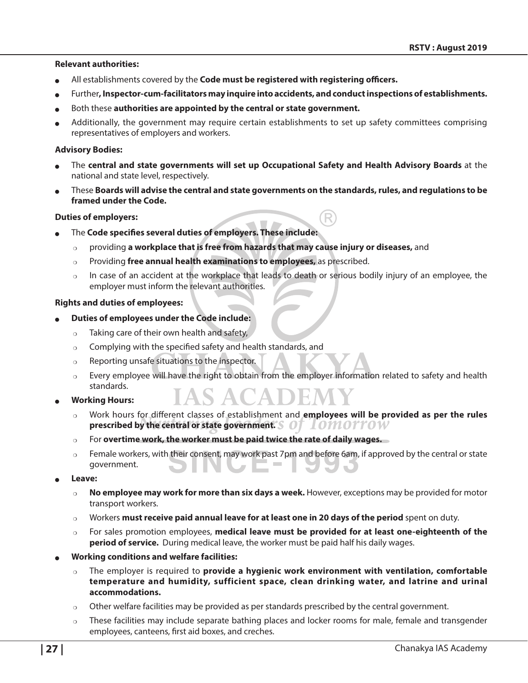#### **Relevant authorities:**

- All establishments covered by the **Code must be registered with registering officers.**
- Further, Inspector-cum-facilitators may inquire into accidents, and conduct inspections of establishments.
- Both these **authorities are appointed by the central or state government.**
- Additionally, the government may require certain establishments to set up safety committees comprising representatives of employers and workers.

#### **Advisory Bodies:**

- The **central and state governments will set up Occupational Safety and Health Advisory Boards** at the national and state level, respectively.
- <sup>O</sup> These **Boards will advise the central and state governments on the standards, rules, and regulations to be framed under the Code.**

#### **Duties of employers:**

- The **Code specifies several duties of employers. These include:** 
	- providing a workplace that is free from hazards that may cause injury or diseases, and
	- <sup>P</sup> Providing **free annual health examinations to employees,** as prescribed.
	- $\circ$  In case of an accident at the workplace that leads to death or serious bodily injury of an employee, the employer must inform the relevant authorities.

#### **Rights and duties of employees:**

- <sup>O</sup> **Duties of employees under the Code include:**
	- $\circ$  Taking care of their own health and safety,
	- $\circ$  Complying with the specified safety and health standards, and
	- $\circ$  Reporting unsafe situations to the inspector.
	- $\circ$  Every employee will have the right to obtain from the employer information related to safety and health standards.
- **Working Hours:** 
	- <sup>P</sup> Work hours for different classes of establishment and **employees will be provided as per the rules prescribed by the central or state government.**
	- $\circ$  For **overtime work, the worker must be paid twice the rate of daily wages.**
	- $\circ$  Female workers, with their consent, may work past 7pm and before 6am, if approved by the central or state government.
- Leave:
	- No employee may work for more than six days a week. However, exceptions may be provided for motor transport workers.
	- **P Workers must receive paid annual leave for at least one in 20 days of the period** spent on duty.
	- $\circ$  For sales promotion employees, **medical leave must be provided for at least one-eighteenth of the period of service.** During medical leave, the worker must be paid half his daily wages.
- <sup>O</sup> **Working conditions and welfare facilities:** 
	- <sup>P</sup> The employer is required to **provide a hygienic work environment with ventilation, comfortable temperature and humidity, sufficient space, clean drinking water, and latrine and urinal accommodations.**
	- $\circ$  Other welfare facilities may be provided as per standards prescribed by the central government.
	- $\circ$  These facilities may include separate bathing places and locker rooms for male, female and transgender employees, canteens, first aid boxes, and creches.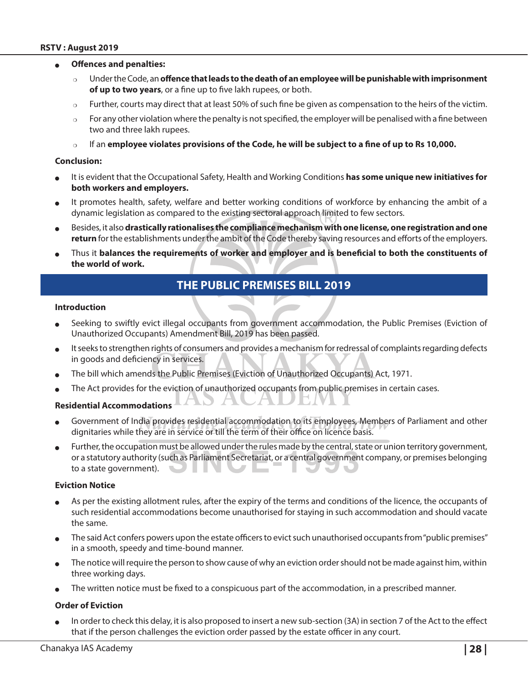- <sup>O</sup> **Offences and penalties:** 
	- <sup>P</sup> Under the Code, an **offence that leads to the death of an employee will be punishable with imprisonment of up to two years**, or a fine up to five lakh rupees, or both.
	- $\circ$  Further, courts may direct that at least 50% of such fine be given as compensation to the heirs of the victim.
	- $\circ$  For any other violation where the penalty is not specified, the employer will be penalised with a fine between two and three lakh rupees.
	- <sup>P</sup> If an **employee violates provisions of the Code, he will be subject to a fine of up to Rs 10,000.**

#### **Conclusion:**

- It is evident that the Occupational Safety, Health and Working Conditions has some unique new initiatives for **both workers and employers.**
- It promotes health, safety, welfare and better working conditions of workforce by enhancing the ambit of a dynamic legislation as compared to the existing sectoral approach limited to few sectors.
- <sup>O</sup> Besides, it also **drastically rationalises the compliance mechanism with one license, one registration and one return** for the establishments under the ambit of the Code thereby saving resources and efforts of the employers.
- Thus it **balances the requirements of worker and employer and is beneficial to both the constituents of the world of work.**

# **THE PUBLIC PREMISES BILL 2019**

#### **Introduction**

- <sup>O</sup> Seeking to swiftly evict illegal occupants from government accommodation, the Public Premises (Eviction of Unauthorized Occupants) Amendment Bill, 2019 has been passed.
- It seeks to strengthen rights of consumers and provides a mechanism for redressal of complaints regarding defects in goods and deficiency in services.
- The bill which amends the Public Premises (Eviction of Unauthorized Occupants) Act, 1971.
- The Act provides for the eviction of unauthorized occupants from public premises in certain cases.

#### **Residential Accommodations**

- Government of India provides residential accommodation to its employees, Members of Parliament and other dignitaries while they are in service or till the term of their office on licence basis.
- Further, the occupation must be allowed under the rules made by the central, state or union territory government, or a statutory authority (such as Parliament Secretariat, or a central government company, or premises belonging to a state government).

#### **Eviction Notice**

- As per the existing allotment rules, after the expiry of the terms and conditions of the licence, the occupants of such residential accommodations become unauthorised for staying in such accommodation and should vacate the same.
- The said Act confers powers upon the estate officers to evict such unauthorised occupants from "public premises" in a smooth, speedy and time-bound manner.
- The notice will require the person to show cause of why an eviction order should not be made against him, within three working days.
- The written notice must be fixed to a conspicuous part of the accommodation, in a prescribed manner.

#### **Order of Eviction**

In order to check this delay, it is also proposed to insert a new sub-section (3A) in section 7 of the Act to the effect that if the person challenges the eviction order passed by the estate officer in any court.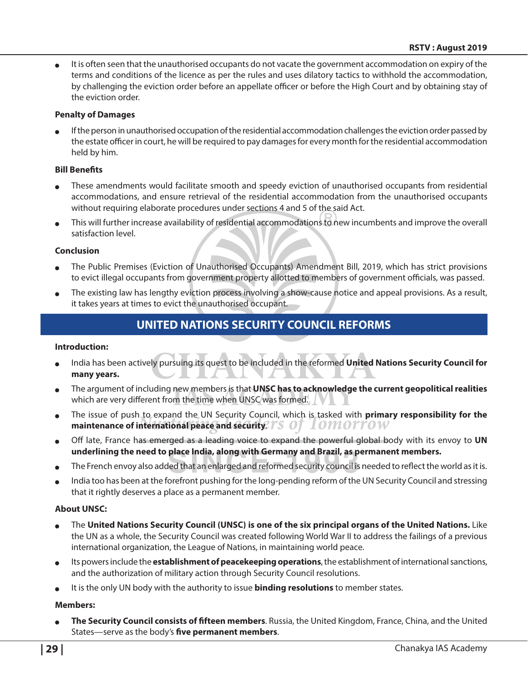$\bullet$  It is often seen that the unauthorised occupants do not vacate the government accommodation on expiry of the terms and conditions of the licence as per the rules and uses dilatory tactics to withhold the accommodation, by challenging the eviction order before an appellate officer or before the High Court and by obtaining stay of the eviction order.

#### **Penalty of Damages**

If the person in unauthorised occupation of the residential accommodation challenges the eviction order passed by the estate officer in court, he will be required to pay damages for every month for the residential accommodation held by him.

#### **Bill Benefits**

- These amendments would facilitate smooth and speedy eviction of unauthorised occupants from residential accommodations, and ensure retrieval of the residential accommodation from the unauthorised occupants without requiring elaborate procedures under sections 4 and 5 of the said Act.
- This will further increase availability of residential accommodations to new incumbents and improve the overall satisfaction level.

#### **Conclusion**

- The Public Premises (Eviction of Unauthorised Occupants) Amendment Bill, 2019, which has strict provisions to evict illegal occupants from government property allotted to members of government officials, was passed.
- The existing law has lengthy eviction process involving a show-cause notice and appeal provisions. As a result, it takes years at times to evict the unauthorised occupant.

# **UNITED NATIONS SECURITY COUNCIL REFORMS**

#### **Introduction:**

- India has been actively pursuing its quest to be included in the reformed United Nations Security Council for **many years.**
- The argument of including new members is that **UNSC has to acknowledge the current geopolitical realities** which are very different from the time when UNSC was formed.
- <sup>O</sup> The issue of push to expand the UN Security Council, which is tasked with **primary responsibility for the maintenance of international peace and security**.
- Off late, France has emerged as a leading voice to expand the powerful global body with its envoy to UN **underlining the need to place India, along with Germany and Brazil, as permanent members.**
- The French envoy also added that an enlarged and reformed security council is needed to reflect the world as it is.
- India too has been at the forefront pushing for the long-pending reform of the UN Security Council and stressing that it rightly deserves a place as a permanent member.

#### **About UNSC:**

- The United Nations Security Council (UNSC) is one of the six principal organs of the United Nations. Like the UN as a whole, the Security Council was created following World War II to address the failings of a previous international organization, the League of Nations, in maintaining world peace.
- Its powers include the **establishment of peacekeeping operations**, the establishment of international sanctions, and the authorization of military action through Security Council resolutions.
- <sup>O</sup> It is the only UN body with the authority to issue **binding resolutions** to member states.

#### **Members:**

<sup>O</sup> **The Security Council consists of fifteen members**. Russia, the United Kingdom, France, China, and the United States—serve as the body's **five permanent members**.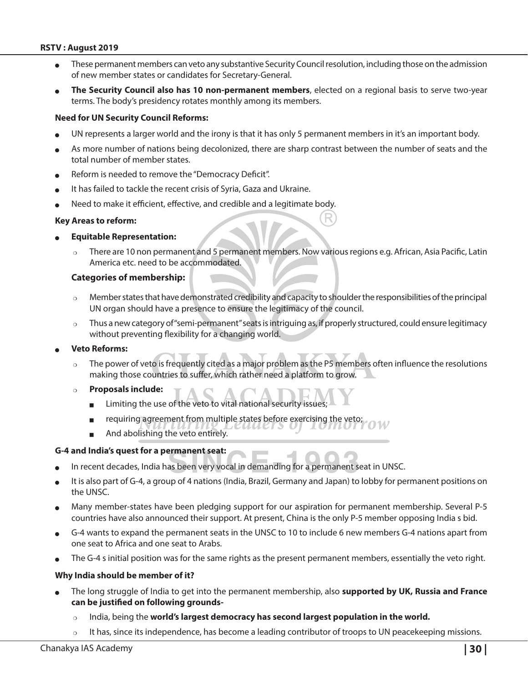- These permanent members can veto any substantive Security Council resolution, including those on the admission of new member states or candidates for Secretary-General.
- The Security Council also has 10 non-permanent members, elected on a regional basis to serve two-year terms. The body's presidency rotates monthly among its members.

#### **Need for UN Security Council Reforms:**

- UN represents a larger world and the irony is that it has only 5 permanent members in it's an important body.
- As more number of nations being decolonized, there are sharp contrast between the number of seats and the total number of member states.
- Reform is needed to remove the "Democracy Deficit".
- It has failed to tackle the recent crisis of Syria, Gaza and Ukraine.
- Need to make it efficient, effective, and credible and a legitimate body.

#### **Key Areas to reform:**

- **Equitable Representation:** 
	- There are 10 non permanent and 5 permanent members. Now various regions e.g. African, Asia Pacific, Latin America etc. need to be accommodated.

#### **Categories of membership:**

- $\circ$  Member states that have demonstrated credibility and capacity to shoulder the responsibilities of the principal UN organ should have a presence to ensure the legitimacy of the council.
- $\circ$  Thus a new category of "semi-permanent" seats is intriguing as, if properly structured, could ensure legitimacy without preventing flexibility for a changing world.

#### **Veto Reforms:**

- $\circ$  The power of veto is frequently cited as a major problem as the P5 members often influence the resolutions making those countries to suffer, which rather need a platform to grow.
- o **Proposals include:** 
	- Limiting the use of the veto to vital national security issues;
	- **EXECUTE FOR THE R** requiring agreement from multiple states before exercising the veto;  $\overline{O}W$
	- And abolishing the veto entirely.

#### **G-4 and India's quest for a permanent seat:**

- In recent decades, India has been very vocal in demanding for a permanent seat in UNSC.
- It is also part of G-4, a group of 4 nations (India, Brazil, Germany and Japan) to lobby for permanent positions on the UNSC.
- <sup>O</sup> Many member-states have been pledging support for our aspiration for permanent membership. Several P-5 countries have also announced their support. At present, China is the only P-5 member opposing India s bid.
- G-4 wants to expand the permanent seats in the UNSC to 10 to include 6 new members G-4 nations apart from one seat to Africa and one seat to Arabs.
- The G-4 s initial position was for the same rights as the present permanent members, essentially the veto right.

#### **Why India should be member of it?**

- <sup>O</sup> The long struggle of India to get into the permanent membership, also **supported by UK, Russia and France can be justified on following grounds-**
	- **P India, being the world's largest democracy has second largest population in the world.**
	- It has, since its independence, has become a leading contributor of troops to UN peacekeeping missions.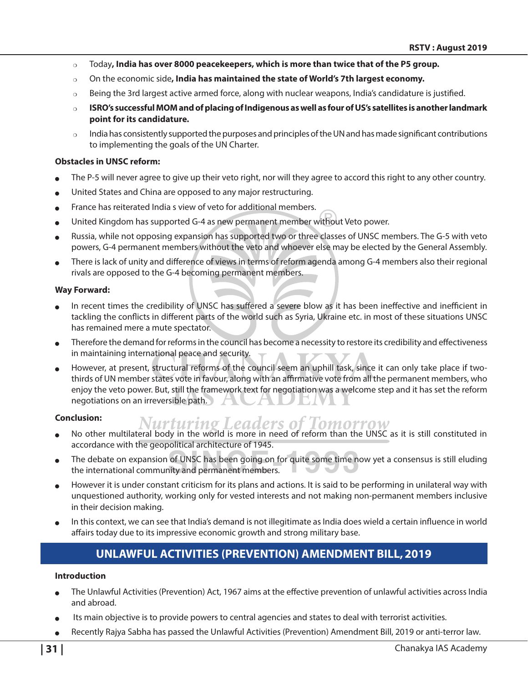- $\circ$  Today, India has over 8000 peacekeepers, which is more than twice that of the P5 group.
- **P On the economic side, India has maintained the state of World's 7th largest economy.**
- $\circ$  Being the 3rd largest active armed force, along with nuclear weapons, India's candidature is justified.
- <sup>P</sup> **ISRO's successful MOM and of placing of Indigenous as well as four of US's satellites is another landmark point for its candidature.**
- $\circ$  India has consistently supported the purposes and principles of the UN and has made significant contributions to implementing the goals of the UN Charter.

#### **Obstacles in UNSC reform:**

- The P-5 will never agree to give up their veto right, nor will they agree to accord this right to any other country.
- United States and China are opposed to any major restructuring.
- France has reiterated India s view of veto for additional members.
- United Kingdom has supported G-4 as new permanent member without Veto power.
- Russia, while not opposing expansion has supported two or three classes of UNSC members. The G-5 with veto powers, G-4 permanent members without the veto and whoever else may be elected by the General Assembly.
- There is lack of unity and difference of views in terms of reform agenda among G-4 members also their regional rivals are opposed to the G-4 becoming permanent members.

#### **Way Forward:**

- In recent times the credibility of UNSC has suffered a severe blow as it has been ineffective and inefficient in tackling the conflicts in different parts of the world such as Syria, Ukraine etc. in most of these situations UNSC has remained mere a mute spectator.
- Therefore the demand for reforms in the council has become a necessity to restore its credibility and effectiveness in maintaining international peace and security.
- However, at present, structural reforms of the council seem an uphill task, since it can only take place if twothirds of UN member states vote in favour, along with an affirmative vote from all the permanent members, who enjoy the veto power. But, still the framework text for negotiation was a welcome step and it has set the reform negotiations on an irreversible path.

#### **Conclusion:**

- <sup>O</sup> No other multilateral body in the world is more in need of reform than the UNSC as it is still constituted in Nurturing Leaders of accordance with the geopolitical architecture of 1945.
- The debate on expansion of UNSC has been going on for quite some time now yet a consensus is still eluding the international community and permanent members.
- However it is under constant criticism for its plans and actions. It is said to be performing in unilateral way with unquestioned authority, working only for vested interests and not making non-permanent members inclusive in their decision making.
- In this context, we can see that India's demand is not illegitimate as India does wield a certain influence in world affairs today due to its impressive economic growth and strong military base.

# **UNLAWFUL ACTIVITIES (PREVENTION) AMENDMENT BILL, 2019**

#### **Introduction**

- The Unlawful Activities (Prevention) Act, 1967 aims at the effective prevention of unlawful activities across India and abroad.
- Its main objective is to provide powers to central agencies and states to deal with terrorist activities.
- Recently Rajya Sabha has passed the Unlawful Activities (Prevention) Amendment Bill, 2019 or anti-terror law.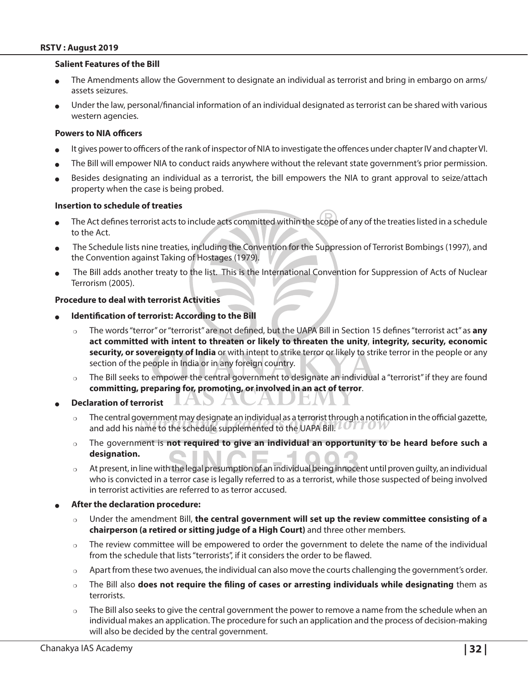#### **Salient Features of the Bill**

- The Amendments allow the Government to designate an individual as terrorist and bring in embargo on arms/ assets seizures.
- Under the law, personal/financial information of an individual designated as terrorist can be shared with various western agencies.

#### **Powers to NIA officers**

- It gives power to officers of the rank of inspector of NIA to investigate the offences under chapter IV and chapter VI.
- The Bill will empower NIA to conduct raids anywhere without the relevant state government's prior permission.
- Besides designating an individual as a terrorist, the bill empowers the NIA to grant approval to seize/attach property when the case is being probed.

#### **Insertion to schedule of treaties**

- The Act defines terrorist acts to include acts committed within the scope of any of the treaties listed in a schedule to the Act.
- The Schedule lists nine treaties, including the Convention for the Suppression of Terrorist Bombings (1997), and the Convention against Taking of Hostages (1979).
- The Bill adds another treaty to the list. This is the International Convention for Suppression of Acts of Nuclear Terrorism (2005).

#### **Procedure to deal with terrorist Activities**

- **Identification of terrorist: According to the Bill** 
	- <sup>P</sup> The words "terror" or "terrorist" are not defined, but the UAPA Bill in Section 15 defines "terrorist act" as **any act committed with intent to threaten or likely to threaten the unity**, **integrity, security, economic security, or sovereignty of India** or with intent to strike terror or likely to strike terror in the people or any section of the people in India or in any foreign country.
	- $\circ$  The Bill seeks to empower the central government to designate an individual a "terrorist" if they are found **committing, preparing for, promoting, or involved in an act of terror**.
- <sup>O</sup> **Declaration of terrorist**
	- $\circ$  The central government may designate an individual as a terrorist through a notification in the official gazette, and add his name to the schedule supplemented to the UAPA Bill. LUTTU
	- $\circ$  The government is **not required to give an individual an opportunity to be heard before such a designation.**
	- $\circ$  At present, in line with the legal presumption of an individual being innocent until proven guilty, an individual who is convicted in a terror case is legally referred to as a terrorist, while those suspected of being involved in terrorist activities are referred to as terror accused.
- After the declaration procedure:
	- <sup>P</sup> Under the amendment Bill, **the central government will set up the review committee consisting of a chairperson (a retired or sitting judge of a High Court)** and three other members.
	- $\circ$  The review committee will be empowered to order the government to delete the name of the individual from the schedule that lists "terrorists", if it considers the order to be flawed.
	- $\circ$  Apart from these two avenues, the individual can also move the courts challenging the government's order.
	- <sup>P</sup> The Bill also **does not require the filing of cases or arresting individuals while designating** them as terrorists.
	- $\circ$  The Bill also seeks to give the central government the power to remove a name from the schedule when an individual makes an application. The procedure for such an application and the process of decision-making will also be decided by the central government.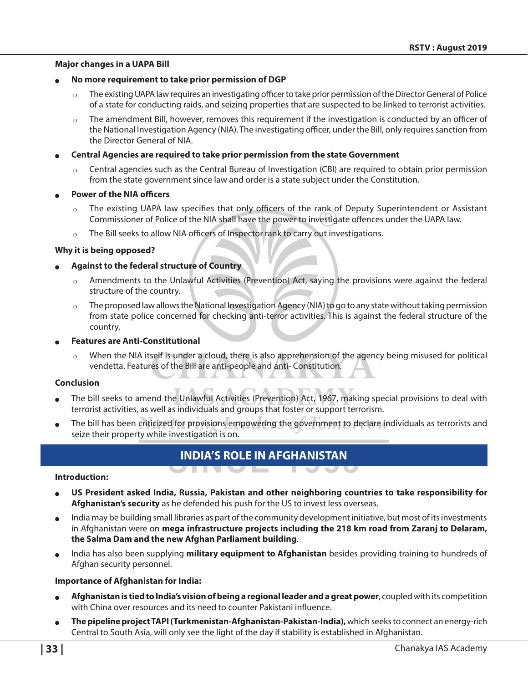#### **Major changes in a UAPA Bill**

#### <sup>O</sup> **No more requirement to take prior permission of DGP**

- $\circ$  The existing UAPA law requires an investigating officer to take prior permission of the Director General of Police of a state for conducting raids, and seizing properties that are suspected to be linked to terrorist activities.
- $\circ$  The amendment Bill, however, removes this requirement if the investigation is conducted by an officer of the National Investigation Agency (NIA). The investigating officer, under the Bill, only requires sanction from the Director General of NIA.

#### <sup>O</sup> **Central Agencies are required to take prior permission from the state Government**

 $\circ$  Central agencies such as the Central Bureau of Investigation (CBI) are required to obtain prior permission from the state government since law and order is a state subject under the Constitution.

#### **Power of the NIA officers**

- $\circ$  The existing UAPA law specifies that only officers of the rank of Deputy Superintendent or Assistant Commissioner of Police of the NIA shall have the power to investigate offences under the UAPA law.
- The Bill seeks to allow NIA officers of Inspector rank to carry out investigations.

#### **Why it is being opposed?**

#### **Against to the federal structure of Country**

- $\circ$  Amendments to the Unlawful Activities (Prevention) Act, saying the provisions were against the federal structure of the country.
- $\circ$  The proposed law allows the National Investigation Agency (NIA) to go to any state without taking permission from state police concerned for checking anti-terror activities. This is against the federal structure of the country.

#### **Features are Anti-Constitutional**

 $\circ$  When the NIA itself is under a cloud, there is also apprehension of the agency being misused for political vendetta. Features of the Bill are anti-people and anti- Constitution.

#### **Conclusion**

- The bill seeks to amend the Unlawful Activities (Prevention) Act, 1967, making special provisions to deal with terrorist activities, as well as individuals and groups that foster or support terrorism.
- The bill has been criticized for provisions empowering the government to declare individuals as terrorists and seize their property while investigation is on.

# **INDIA'S ROLE IN AFGHANISTAN**

<u> UTIN VIE</u>

#### **Introduction:**

<sup>O</sup> **US President asked India, Russia, Pakistan and other neighboring countries to take responsibility for Afghanistan's security** as he defended his push for the US to invest less overseas.

ਦਾ ਦਾ ਦਾ

- India may be building small libraries as part of the community development initiative, but most of its investments in Afghanistan were on **mega infrastructure projects including the 218 km road from Zaranj to Delaram, the Salma Dam and the new Afghan Parliament building**.
- India has also been supplying **military equipment to Afghanistan** besides providing training to hundreds of Afghan security personnel.

#### **Importance of Afghanistan for India:**

- <sup>O</sup> **Afghanistan is tied to India's vision of being a regional leader and a great power**, coupled with its competition with China over resources and its need to counter Pakistani influence.
- <sup>O</sup> **The pipeline project TAPI (Turkmenistan-Afghanistan-Pakistan-India),** which seeks to connect an energy-rich Central to South Asia, will only see the light of the day if stability is established in Afghanistan.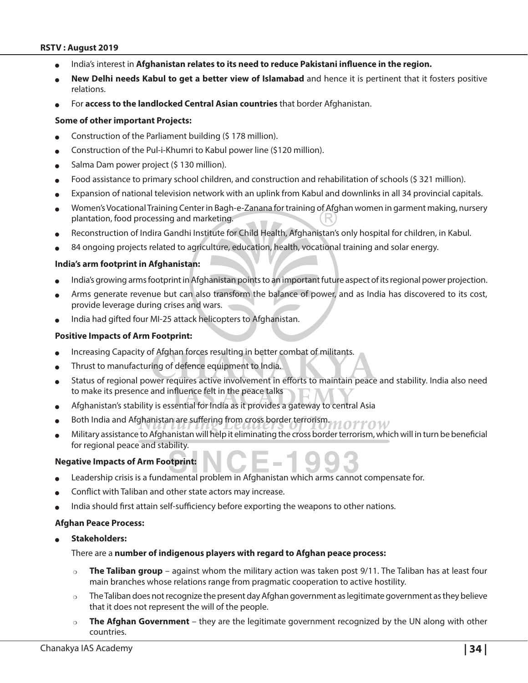- India's interest in Afghanistan relates to its need to reduce Pakistani influence in the region.
- New Delhi needs Kabul to get a better view of Islamabad and hence it is pertinent that it fosters positive relations.
- For **access to the landlocked Central Asian countries** that border Afghanistan.

#### **Some of other important Projects:**

- Construction of the Parliament building (\$178 million).
- Construction of the Pul-i-Khumri to Kabul power line (\$120 million).
- Salma Dam power project (\$ 130 million).
- Food assistance to primary school children, and construction and rehabilitation of schools (\$ 321 million).
- Expansion of national television network with an uplink from Kabul and downlinks in all 34 provincial capitals.
- Women's Vocational Training Center in Bagh-e-Zanana for training of Afghan women in garment making, nursery plantation, food processing and marketing.
- Reconstruction of Indira Gandhi Institute for Child Health, Afghanistan's only hospital for children, in Kabul.
- 84 ongoing projects related to agriculture, education, health, vocational training and solar energy.

#### **India's arm footprint in Afghanistan:**

- India's growing arms footprint in Afghanistan points to an important future aspect of its regional power projection.
- Arms generate revenue but can also transform the balance of power, and as India has discovered to its cost, provide leverage during crises and wars.
- India had gifted four MI-25 attack helicopters to Afghanistan.

#### **Positive Impacts of Arm Footprint:**

- Increasing Capacity of Afghan forces resulting in better combat of militants.
- Thrust to manufacturing of defence equipment to India.
- <sup>O</sup> Status of regional power requires active involvement in efforts to maintain peace and stability. India also need to make its presence and influence felt in the peace talks
- Afghanistan's stability is essential for India as it provides a gateway to central Asia
- Both India and Afghanistan are suffering from cross border terrorism. 0110W
- <sup>O</sup> Military assistance to Afghanistan will help it eliminating the cross border terrorism, which will in turn be beneficial for regional peace and stability.

#### **Negative Impacts of Arm Footprint:**

- Leadership crisis is a fundamental problem in Afghanistan which arms cannot compensate for.
- Conflict with Taliban and other state actors may increase.
- India should first attain self-sufficiency before exporting the weapons to other nations.

#### **Afghan Peace Process:**

Stakeholders:

There are a **number of indigenous players with regard to Afghan peace process:**

- $\circ$  **The Taliban group** against whom the military action was taken post 9/11. The Taliban has at least four main branches whose relations range from pragmatic cooperation to active hostility.
- $\circ$  The Taliban does not recognize the present day Afghan government as legitimate government as they believe that it does not represent the will of the people.
- <sup>P</sup> **The Afghan Government** they are the legitimate government recognized by the UN along with other countries.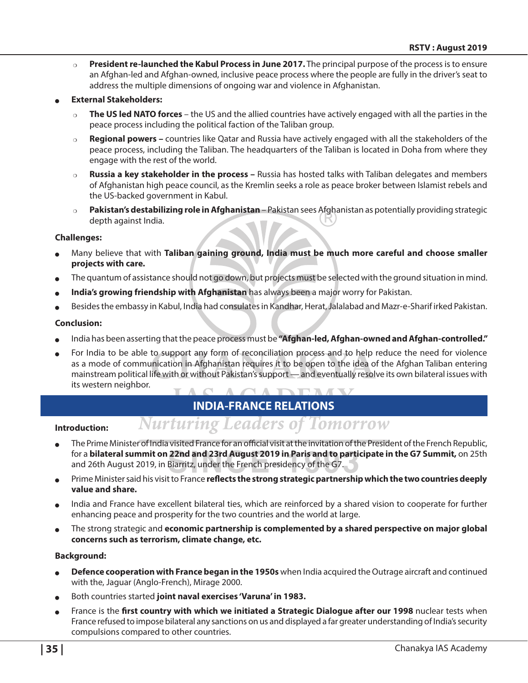- **President re-launched the Kabul Process in June 2017.** The principal purpose of the process is to ensure an Afghan-led and Afghan-owned, inclusive peace process where the people are fully in the driver's seat to address the multiple dimensions of ongoing war and violence in Afghanistan.
- **External Stakeholders:** 
	- <sup>P</sup> **The US led NATO forces**  the US and the allied countries have actively engaged with all the parties in the peace process including the political faction of the Taliban group.
	- <sup>P</sup> **Regional powers** countries like Qatar and Russia have actively engaged with all the stakeholders of the peace process, including the Taliban. The headquarters of the Taliban is located in Doha from where they engage with the rest of the world.
	- <sup>P</sup> **Russia a key stakeholder in the process** Russia has hosted talks with Taliban delegates and members of Afghanistan high peace council, as the Kremlin seeks a role as peace broker between Islamist rebels and the US-backed government in Kabul.
	- **Pakistan's destabilizing role in Afghanistan** Pakistan sees Afghanistan as potentially providing strategic depth against India.

#### **Challenges:**

- Many believe that with Taliban gaining ground, India must be much more careful and choose smaller **projects with care.**
- The quantum of assistance should not go down, but projects must be selected with the ground situation in mind.
- India's growing friendship with Afghanistan has always been a major worry for Pakistan.
- <sup>O</sup> Besides the embassy in Kabul, India had consulates in Kandhar, Herat, Jalalabad and Mazr-e-Sharif irked Pakistan.

#### **Conclusion:**

- India has been asserting that the peace process must be "Afghan-led, Afghan-owned and Afghan-controlled."
- For India to be able to support any form of reconciliation process and to help reduce the need for violence as a mode of communication in Afghanistan requires it to be open to the idea of the Afghan Taliban entering mainstream political life with or without Pakistan's support — and eventually resolve its own bilateral issues with its western neighbor.

# **INDIA-FRANCE RELATIONS**

**Nurturing Leaders of Tomorrow** 

#### **Introduction:**

- The Prime Minister of India visited France for an official visit at the invitation of the President of the French Republic, for a **bilateral summit on 22nd and 23rd August 2019 in Paris and to participate in the G7 Summit,** on 25th and 26th August 2019, in Biarritz, under the French presidency of the G7.
- Prime Minister said his visit to France reflects the strong strategic partnership which the two countries deeply **value and share.**
- India and France have excellent bilateral ties, which are reinforced by a shared vision to cooperate for further enhancing peace and prosperity for the two countries and the world at large.
- The strong strategic and **economic partnership is complemented by a shared perspective on major global concerns such as terrorism, climate change, etc.**

#### **Background:**

- <sup>O</sup> **Defence cooperation with France began in the 1950s** when India acquired the Outrage aircraft and continued with the, Jaguar (Anglo-French), Mirage 2000.
- <sup>O</sup> Both countries started **joint naval exercises 'Varuna' in 1983.**
- France is the first country with which we initiated a Strategic Dialogue after our 1998 nuclear tests when France refused to impose bilateral any sanctions on us and displayed a far greater understanding of India's security compulsions compared to other countries.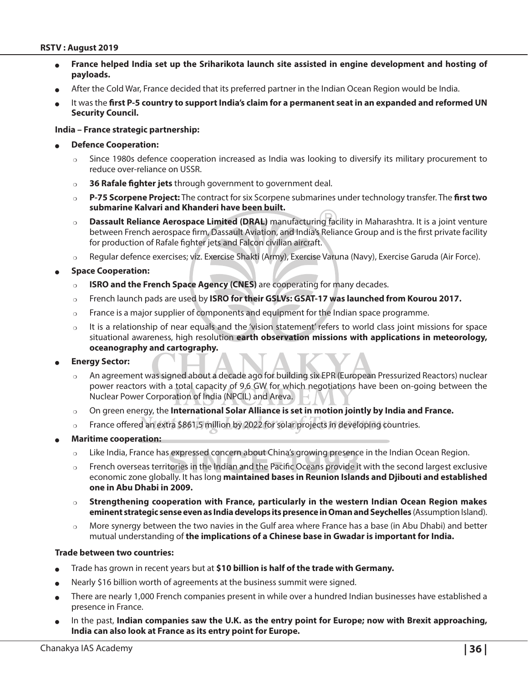- France helped India set up the Sriharikota launch site assisted in engine development and hosting of **payloads.**
- After the Cold War, France decided that its preferred partner in the Indian Ocean Region would be India.
- It was the first P-5 country to support India's claim for a permanent seat in an expanded and reformed UN **Security Council.**

#### **India – France strategic partnership:**

- **Defence Cooperation:** 
	- $\circ$  Since 1980s defence cooperation increased as India was looking to diversify its military procurement to reduce over-reliance on USSR.
	- <sup>P</sup> **36 Rafale fighter jets** through government to government deal.
	- <sup>P</sup> **P-75 Scorpene Project:** The contract for six Scorpene submarines under technology transfer. The **first two submarine Kalvari and Khanderi have been built.**
	- **Dassault Reliance Aerospace Limited (DRAL)** manufacturing facility in Maharashtra. It is a joint venture between French aerospace firm, Dassault Aviation, and India's Reliance Group and is the first private facility for production of Rafale fighter jets and Falcon civilian aircraft.
	- o Regular defence exercises; viz. Exercise Shakti (Army), Exercise Varuna (Navy), Exercise Garuda (Air Force).
- **Space Cooperation:** 
	- **P ISRO and the French Space Agency (CNES)** are cooperating for many decades.
	- $\circ$  French launch pads are used by **ISRO for their GSLVs: GSAT-17 was launched from Kourou 2017.**
	- $\circ$  France is a major supplier of components and equipment for the Indian space programme.
	- $\circ$  It is a relationship of near equals and the 'vision statement' refers to world class joint missions for space situational awareness, high resolution **earth observation missions with applications in meteorology, oceanography and cartography.**
- **Energy Sector:** 
	- $\circ$  An agreement was signed about a decade ago for building six EPR (European Pressurized Reactors) nuclear power reactors with a total capacity of 9.6 GW for which negotiations have been on-going between the Nuclear Power Corporation of India (NPCIL) and Areva.
	- <sup>P</sup> On green energy, the **International Solar Alliance is set in motion jointly by India and France.**
	- $\circ$  France offered an extra \$861.5 million by 2022 for solar projects in developing countries.
- **Maritime cooperation:** 
	- $\circ$  Like India, France has expressed concern about China's growing presence in the Indian Ocean Region.
	- $\circ$  French overseas territories in the Indian and the Pacific Oceans provide it with the second largest exclusive economic zone globally. It has long **maintained bases in Reunion Islands and Djibouti and established one in Abu Dhabi in 2009.**
	- $\circ$  Strengthening cooperation with France, particularly in the western Indian Ocean Region makes **eminent strategic sense even as India develops its presence in Oman and Seychelles** (Assumption Island).
	- $\circ$  More synergy between the two navies in the Gulf area where France has a base (in Abu Dhabi) and better mutual understanding of **the implications of a Chinese base in Gwadar is important for India.**

#### **Trade between two countries:**

- Trade has grown in recent years but at \$10 billion is half of the trade with Germany.
- Nearly \$16 billion worth of agreements at the business summit were signed.
- There are nearly 1,000 French companies present in while over a hundred Indian businesses have established a presence in France.
- In the past, **Indian companies saw the U.K. as the entry point for Europe; now with Brexit approaching, India can also look at France as its entry point for Europe.**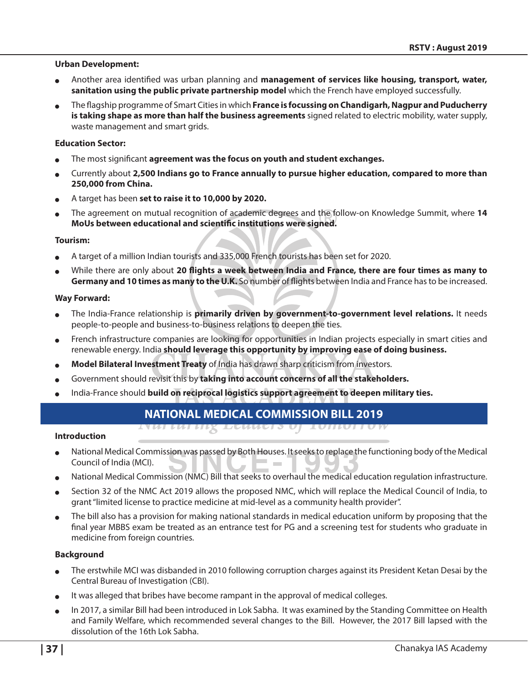#### **Urban Development:**

- Another area identified was urban planning and **management of services like housing, transport, water, sanitation using the public private partnership model** which the French have employed successfully.
- <sup>O</sup> The flagship programme of Smart Cities in which **France is focussing on Chandigarh, Nagpur and Puducherry is taking shape as more than half the business agreements** signed related to electric mobility, water supply, waste management and smart grids.

#### **Education Sector:**

- The most significant **agreement was the focus on youth and student exchanges.**
- <sup>O</sup> Currently about **2,500 Indians go to France annually to pursue higher education, compared to more than 250,000 from China.**
- <sup>O</sup> A target has been **set to raise it to 10,000 by 2020.**
- <sup>O</sup> The agreement on mutual recognition of academic degrees and the follow-on Knowledge Summit, where **14 MoUs between educational and scientific institutions were signed.**

#### **Tourism:**

- A target of a million Indian tourists and 335,000 French tourists has been set for 2020.
- While there are only about 20 flights a week between India and France, there are four times as many to **Germany and 10 times as many to the U.K.** So number of flights between India and France has to be increased.

#### **Way Forward:**

- The India-France relationship is **primarily driven by government-to-government level relations.** It needs people-to-people and business-to-business relations to deepen the ties.
- French infrastructure companies are looking for opportunities in Indian projects especially in smart cities and renewable energy. India **should leverage this opportunity by improving ease of doing business.**
- Model Bilateral Investment Treaty of India has drawn sharp criticism from investors.
- <sup>O</sup> Government should revisit this by **taking into account concerns of all the stakeholders.**
- <sup>O</sup> India-France should **build on reciprocal logistics support agreement to deepen military ties.**

#### **NATIONAL MEDICAL COMMISSION BILL 2019** INUI UUTUIX LEUUEI 3 UJ TUIIUUTTUW

#### **Introduction**

- National Medical Commission was passed by Both Houses. It seeks to replace the functioning body of the Medical Council of India (MCI).  $\mathcal{L}_{\mathcal{A}}$
- National Medical Commission (NMC) Bill that seeks to overhaul the medical education regulation infrastructure.
- Section 32 of the NMC Act 2019 allows the proposed NMC, which will replace the Medical Council of India, to grant "limited license to practice medicine at mid-level as a community health provider".
- The bill also has a provision for making national standards in medical education uniform by proposing that the final year MBBS exam be treated as an entrance test for PG and a screening test for students who graduate in medicine from foreign countries.

#### **Background**

- The erstwhile MCI was disbanded in 2010 following corruption charges against its President Ketan Desai by the Central Bureau of Investigation (CBI).
- It was alleged that bribes have become rampant in the approval of medical colleges.
- In 2017, a similar Bill had been introduced in Lok Sabha. It was examined by the Standing Committee on Health and Family Welfare, which recommended several changes to the Bill. However, the 2017 Bill lapsed with the dissolution of the 16th Lok Sabha.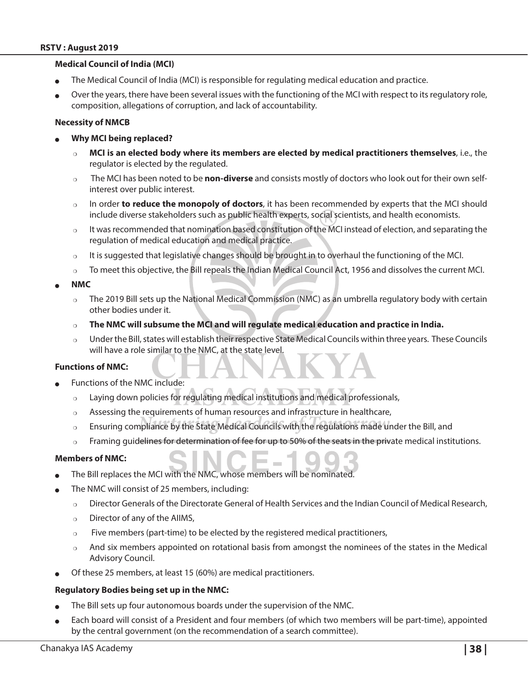#### **Medical Council of India (MCI)**

- The Medical Council of India (MCI) is responsible for regulating medical education and practice.
- Over the years, there have been several issues with the functioning of the MCI with respect to its regulatory role, composition, allegations of corruption, and lack of accountability.

#### **Necessity of NMCB**

- **Why MCI being replaced?** 
	- $\circ$  **MCI is an elected body where its members are elected by medical practitioners themselves**, i.e., the regulator is elected by the regulated.
	- P The MCI has been noted to be **non-diverse** and consists mostly of doctors who look out for their own selfinterest over public interest.
	- $\circ$  In order **to reduce the monopoly of doctors**, it has been recommended by experts that the MCI should include diverse stakeholders such as public health experts, social scientists, and health economists.
	- $\circ$  It was recommended that nomination based constitution of the MCI instead of election, and separating the regulation of medical education and medical practice.
	- $\circ$  It is suggested that legislative changes should be brought in to overhaul the functioning of the MCI.
	- $\circ$  To meet this objective, the Bill repeals the Indian Medical Council Act, 1956 and dissolves the current MCI.

#### <sup>O</sup> **NMC**

- o The 2019 Bill sets up the National Medical Commission (NMC) as an umbrella regulatory body with certain other bodies under it.
- <sup>P</sup> **The NMC will subsume the MCI and will regulate medical education and practice in India.**
- $\circ$  Under the Bill, states will establish their respective State Medical Councils within three years. These Councils will have a role similar to the NMC, at the state level.

#### **Functions of NMC:**

- Functions of the NMC include:
	- $\circ$  Laying down policies for regulating medical institutions and medical professionals,
	- $\circ$  Assessing the requirements of human resources and infrastructure in healthcare,
	- $\circ$  Ensuring compliance by the State Medical Councils with the regulations made under the Bill, and
	- $\circ$  Framing guidelines for determination of fee for up to 50% of the seats in the private medical institutions.

#### **Members of NMC:**

- The Bill replaces the MCI with the NMC, whose members will be nominated.
- The NMC will consist of 25 members, including:
	- $\circ$  Director Generals of the Directorate General of Health Services and the Indian Council of Medical Research,
	- $\circ$  Director of any of the AIIMS,
	- $\circ$  Five members (part-time) to be elected by the registered medical practitioners,
	- $\circ$  And six members appointed on rotational basis from amongst the nominees of the states in the Medical Advisory Council.
- Of these 25 members, at least 15 (60%) are medical practitioners.

#### **Regulatory Bodies being set up in the NMC:**

- The Bill sets up four autonomous boards under the supervision of the NMC.
- Each board will consist of a President and four members (of which two members will be part-time), appointed by the central government (on the recommendation of a search committee).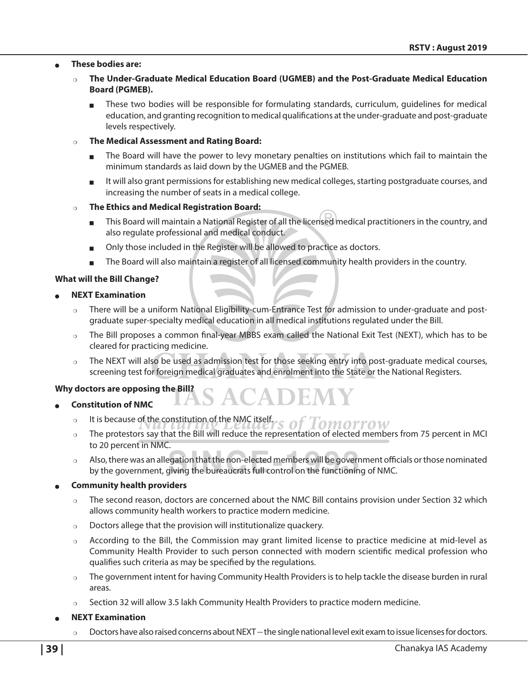#### <sup>O</sup> **These bodies are:**

- $\circ$  The Under-Graduate Medical Education Board (UGMEB) and the Post-Graduate Medical Education **Board (PGMEB).**
	- These two bodies will be responsible for formulating standards, curriculum, quidelines for medical education, and granting recognition to medical qualifications at the under-graduate and post-graduate levels respectively.
- <sup>P</sup> **The Medical Assessment and Rating Board:** 
	- The Board will have the power to levy monetary penalties on institutions which fail to maintain the minimum standards as laid down by the UGMEB and the PGMEB.
	- It will also grant permissions for establishing new medical colleges, starting postgraduate courses, and increasing the number of seats in a medical college.

#### **Phe Ethics and Medical Registration Board:**

- This Board will maintain a National Register of all the licensed medical practitioners in the country, and also regulate professional and medical conduct.
- Only those included in the Register will be allowed to practice as doctors.
- The Board will also maintain a register of all licensed community health providers in the country.

#### **What will the Bill Change?**

#### <sup>O</sup> **NEXT Examination**

- o There will be a uniform National Eligibility-cum-Entrance Test for admission to under-graduate and postgraduate super-specialty medical education in all medical institutions regulated under the Bill.
- $\circ$  The Bill proposes a common final-year MBBS exam called the National Exit Test (NEXT), which has to be cleared for practicing medicine.
- $\circ$  The NEXT will also be used as admission test for those seeking entry into post-graduate medical courses, screening test for foreign medical graduates and enrolment into the State or the National Registers.

#### **Why doctors are opposing the Bill?**

- <sup>O</sup> **Constitution of NMC**
	- $\circ$  It is because of the constitution of the NMC itself.
	- $\circ$  The protestors say that the Bill will reduce the representation of elected members from 75 percent in MCI to 20 percent in NMC.
	- $\circ$  Also, there was an allegation that the non-elected members will be government officials or those nominated by the government, giving the bureaucrats full control on the functioning of NMC.

#### **Community health providers**

- $\circ$  The second reason, doctors are concerned about the NMC Bill contains provision under Section 32 which allows community health workers to practice modern medicine.
- $\circ$  Doctors allege that the provision will institutionalize quackery.
- $\circ$  According to the Bill, the Commission may grant limited license to practice medicine at mid-level as Community Health Provider to such person connected with modern scientific medical profession who qualifies such criteria as may be specified by the regulations.
- $\circ$  The government intent for having Community Health Providers is to help tackle the disease burden in rural areas.
- Section 32 will allow 3.5 lakh Community Health Providers to practice modern medicine.

#### **NEXT Examination**

 $\circ$  Doctors have also raised concerns about NEXT -- the single national level exit exam to issue licenses for doctors.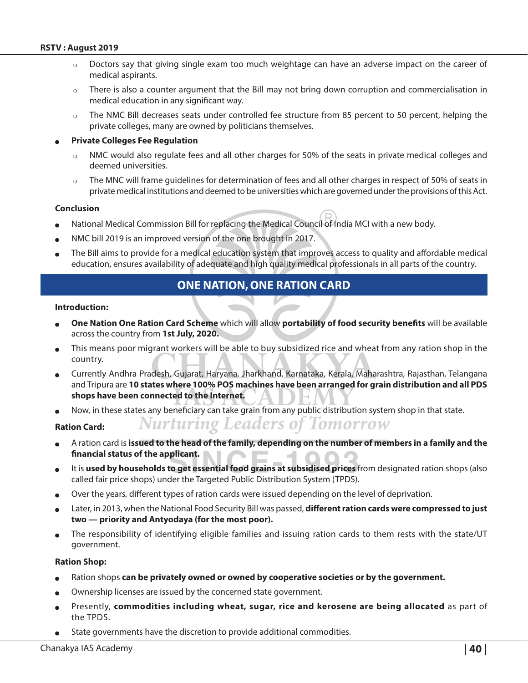- Doctors say that giving single exam too much weightage can have an adverse impact on the career of medical aspirants.
- $\circ$  There is also a counter argument that the Bill may not bring down corruption and commercialisation in medical education in any significant way.
- The NMC Bill decreases seats under controlled fee structure from 85 percent to 50 percent, helping the private colleges, many are owned by politicians themselves.

#### **Private Colleges Fee Regulation**

- $\circ$  NMC would also regulate fees and all other charges for 50% of the seats in private medical colleges and deemed universities.
- $\circ$  The MNC will frame guidelines for determination of fees and all other charges in respect of 50% of seats in private medical institutions and deemed to be universities which are governed under the provisions of this Act.

#### **Conclusion**

- National Medical Commission Bill for replacing the Medical Council of India MCI with a new body.
- NMC bill 2019 is an improved version of the one brought in 2017.
- The Bill aims to provide for a medical education system that improves access to quality and affordable medical education, ensures availability of adequate and high quality medical professionals in all parts of the country.

## **ONE NATION, ONE RATION CARD**

#### **Introduction:**

- <sup>O</sup> **One Nation One Ration Card Scheme** which will allow **portability of food security benefits** will be available across the country from **1st July, 2020.**
- This means poor migrant workers will be able to buy subsidized rice and wheat from any ration shop in the country.
- <sup>O</sup> Currently Andhra Pradesh, Gujarat, Haryana, Jharkhand, Karnataka, Kerala, Maharashtra, Rajasthan, Telangana and Tripura are **10 states where 100% POS machines have been arranged for grain distribution and all PDS shops have been connected to the Internet.**
- Now, in these states any beneficiary can take grain from any public distribution system shop in that state.

**Nurturing Leaders of Tomorrow Ration Card:**

- <sup>O</sup> A ration card is **issued to the head of the family, depending on the number of members in a family and the financial status of the applicant.**
- It is **used by households to get essential food grains at subsidised prices** from designated ration shops (also called fair price shops) under the Targeted Public Distribution System (TPDS).
- Over the years, different types of ration cards were issued depending on the level of deprivation.
- Later, in 2013, when the National Food Security Bill was passed, **different ration cards were compressed to just two — priority and Antyodaya (for the most poor).**
- The responsibility of identifying eligible families and issuing ration cards to them rests with the state/UT government.

#### **Ration Shop:**

- Ration shops **can be privately owned or owned by cooperative societies or by the government.**
- Ownership licenses are issued by the concerned state government.
- Presently, commodities including wheat, sugar, rice and kerosene are being allocated as part of the TPDS.
- State governments have the discretion to provide additional commodities.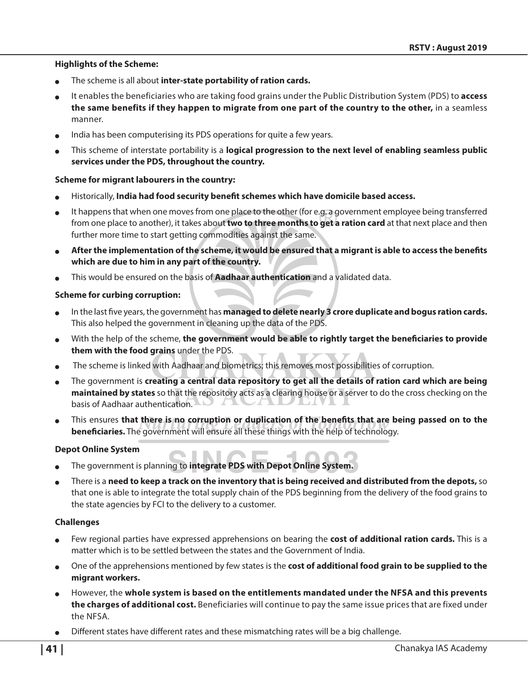#### **Highlights of the Scheme:**

- The scheme is all about inter-state portability of ration cards.
- <sup>O</sup> It enables the beneficiaries who are taking food grains under the Public Distribution System (PDS) to **access the same benefits if they happen to migrate from one part of the country to the other,** in a seamless manner.
- India has been computerising its PDS operations for quite a few years.
- <sup>O</sup> This scheme of interstate portability is a **logical progression to the next level of enabling seamless public services under the PDS, throughout the country.**

#### **Scheme for migrant labourers in the country:**

- Historically, India had food security benefit schemes which have domicile based access.
- It happens that when one moves from one place to the other (for e.g. a government employee being transferred from one place to another), it takes about **two to three months to get a ration card** at that next place and then further more time to start getting commodities against the same.
- <sup>O</sup> **After the implementation of the scheme, it would be ensured that a migrant is able to access the benefits which are due to him in any part of the country.**
- <sup>O</sup> This would be ensured on the basis of **Aadhaar authentication** and a validated data.

#### **Scheme for curbing corruption:**

- In the last five years, the government has **managed to delete nearly 3 crore duplicate and bogus ration cards.** This also helped the government in cleaning up the data of the PDS.
- With the help of the scheme, the government would be able to rightly target the beneficiaries to provide **them with the food grains** under the PDS.
- The scheme is linked with Aadhaar and biometrics; this removes most possibilities of corruption.
- The government is **creating a central data repository to get all the details of ration card which are being maintained by states** so that the repository acts as a clearing house or a server to do the cross checking on the basis of Aadhaar authentication.
- <sup>O</sup> This ensures **that there is no corruption or duplication of the benefits that are being passed on to the beneficiaries.** The government will ensure all these things with the help of technology.

#### **Depot Online System**

- The government is planning to *integrate PDS with Depot Online System.*
- <sup>O</sup> There is a **need to keep a track on the inventory that is being received and distributed from the depots,** so that one is able to integrate the total supply chain of the PDS beginning from the delivery of the food grains to the state agencies by FCI to the delivery to a customer.

#### **Challenges**

- Few regional parties have expressed apprehensions on bearing the **cost of additional ration cards.** This is a matter which is to be settled between the states and the Government of India.
- <sup>O</sup> One of the apprehensions mentioned by few states is the **cost of additional food grain to be supplied to the migrant workers.**
- However, the whole system is based on the entitlements mandated under the NFSA and this prevents **the charges of additional cost.** Beneficiaries will continue to pay the same issue prices that are fixed under the NFSA.
- Different states have different rates and these mismatching rates will be a big challenge.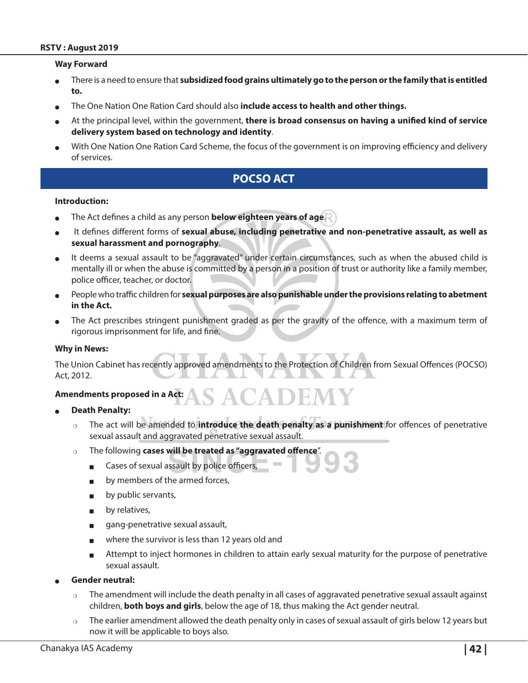#### **Way Forward**

- There is a need to ensure that subsidized food grains ultimately go to the person or the family that is entitled **to.**
- <sup>O</sup> The One Nation One Ration Card should also **include access to health and other things.**
- <sup>O</sup> At the principal level, within the government, **there is broad consensus on having a unified kind of service delivery system based on technology and identity**.
- With One Nation One Ration Card Scheme, the focus of the government is on improving efficiency and delivery of services.

# **POCSO ACT**

#### **Introduction:**

- The Act defines a child as any person **below eighteen years of age.**
- It defines different forms of **sexual abuse, including penetrative and non-penetrative assault, as well as sexual harassment and pornography**.
- It deems a sexual assault to be "aggravated" under certain circumstances, such as when the abused child is mentally ill or when the abuse is committed by a person in a position of trust or authority like a family member, police officer, teacher, or doctor.
- People who traffic children for sexual purposes are also punishable under the provisions relating to abetment **in the Act.**
- The Act prescribes stringent punishment graded as per the gravity of the offence, with a maximum term of rigorous imprisonment for life, and fine.

#### **Why in News:**

The Union Cabinet has recently approved amendments to the Protection of Children from Sexual Offences (POCSO) Act, 2012.

S ACADEM

#### **Amendments proposed in a Act:**

- **Death Penalty:** 
	- <sup>P</sup> The act will be amended to **introduce the death penalty as a punishment** for offences of penetrative sexual assault and aggravated penetrative sexual assault.
	- o The following **cases will be treated as "aggravated offence**".
		- Cases of sexual assault by police officers,
		- by members of the armed forces,
		- by public servants,
		- $\blacksquare$  by relatives,
		- <sup>Q</sup> gang-penetrative sexual assault,
		- where the survivor is less than 12 years old and
		- Attempt to inject hormones in children to attain early sexual maturity for the purpose of penetrative sexual assault.
- Gender neutral:
	- $\circ$  The amendment will include the death penalty in all cases of aggravated penetrative sexual assault against children, **both boys and girls**, below the age of 18, thus making the Act gender neutral.
	- $\circ$  The earlier amendment allowed the death penalty only in cases of sexual assault of girls below 12 years but now it will be applicable to boys also.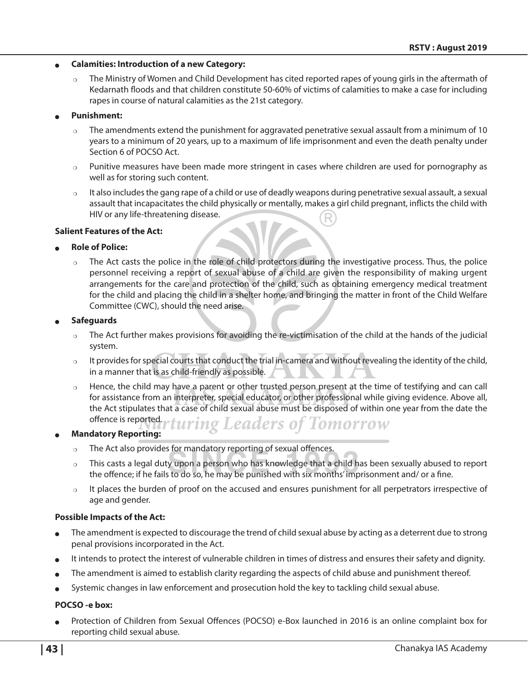#### **Calamities: Introduction of a new Category:**

<sup>P</sup> The Ministry of Women and Child Development has cited reported rapes of young girls in the aftermath of Kedarnath floods and that children constitute 50-60% of victims of calamities to make a case for including rapes in course of natural calamities as the 21st category.

#### **Punishment:**

- $\circ$  The amendments extend the punishment for aggravated penetrative sexual assault from a minimum of 10 years to a minimum of 20 years, up to a maximum of life imprisonment and even the death penalty under Section 6 of POCSO Act.
- $\circ$  Punitive measures have been made more stringent in cases where children are used for pornography as well as for storing such content.
- $\circ$  It also includes the gang rape of a child or use of deadly weapons during penetrative sexual assault, a sexual assault that incapacitates the child physically or mentally, makes a girl child pregnant, inflicts the child with HIV or any life-threatening disease.

#### **Salient Features of the Act:**

#### **Role of Police:**

 $\circ$  The Act casts the police in the role of child protectors during the investigative process. Thus, the police personnel receiving a report of sexual abuse of a child are given the responsibility of making urgent arrangements for the care and protection of the child, such as obtaining emergency medical treatment for the child and placing the child in a shelter home, and bringing the matter in front of the Child Welfare Committee (CWC), should the need arise.

#### <sup>O</sup> **Safeguards**

- $\circ$  The Act further makes provisions for avoiding the re-victimisation of the child at the hands of the judicial system.
- $\circ$  It provides for special courts that conduct the trial in-camera and without revealing the identity of the child, in a manner that is as child-friendly as possible.
- $\circ$  Hence, the child may have a parent or other trusted person present at the time of testifying and can call for assistance from an interpreter, special educator, or other professional while giving evidence. Above all, the Act stipulates that a case of child sexual abuse must be disposed of within one year from the date the offence is reported.rturing Leaders of Tomorrow

#### **Mandatory Reporting:**

- $\circ$  The Act also provides for mandatory reporting of sexual offences.
- $\circ$  This casts a legal duty upon a person who has knowledge that a child has been sexually abused to report the offence; if he fails to do so, he may be punished with six months' imprisonment and/ or a fine.
- $\circ$  It places the burden of proof on the accused and ensures punishment for all perpetrators irrespective of age and gender.

#### **Possible Impacts of the Act:**

- The amendment is expected to discourage the trend of child sexual abuse by acting as a deterrent due to strong penal provisions incorporated in the Act.
- It intends to protect the interest of vulnerable children in times of distress and ensures their safety and dignity.
- The amendment is aimed to establish clarity regarding the aspects of child abuse and punishment thereof.
- Systemic changes in law enforcement and prosecution hold the key to tackling child sexual abuse.

#### **POCSO -e box:**

Protection of Children from Sexual Offences (POCSO) e-Box launched in 2016 is an online complaint box for reporting child sexual abuse.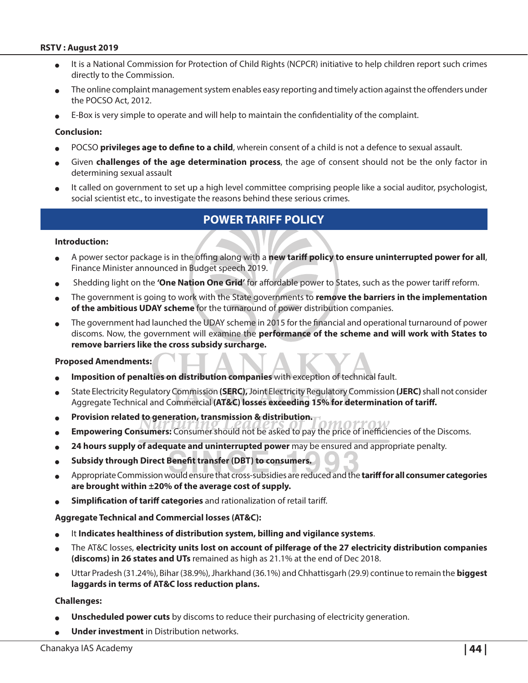- It is a National Commission for Protection of Child Rights (NCPCR) initiative to help children report such crimes directly to the Commission.
- The online complaint management system enables easy reporting and timely action against the offenders under the POCSO Act, 2012.
- E-Box is very simple to operate and will help to maintain the confidentiality of the complaint.

#### **Conclusion:**

- POCSO **privileges age to define to a child**, wherein consent of a child is not a defence to sexual assault.
- Given **challenges of the age determination process**, the age of consent should not be the only factor in determining sexual assault
- It called on government to set up a high level committee comprising people like a social auditor, psychologist, social scientist etc., to investigate the reasons behind these serious crimes.

# **POWER TARIFF POLICY**

#### **Introduction:**

- <sup>O</sup> A power sector package is in the offing along with a **new tariff policy to ensure uninterrupted power for all**, Finance Minister announced in Budget speech 2019.
- <sup>O</sup> Shedding light on the **'One Nation One Grid'** for affordable power to States, such as the power tariff reform.
- The government is going to work with the State governments to **remove the barriers in the implementation of the ambitious UDAY scheme** for the turnaround of power distribution companies.
- The government had launched the UDAY scheme in 2015 for the financial and operational turnaround of power discoms. Now, the government will examine the **performance of the scheme and will work with States to remove barriers like the cross subsidy surcharge.**

#### **Proposed Amendments:**

- Imposition of penalties on distribution companies with exception of technical fault.
- <sup>O</sup> State Electricity Regulatory Commission **(SERC),** Joint Electricity Regulatory Commission **(JERC)** shall not consider Aggregate Technical and Commercial **(AT&C) losses exceeding 15% for determination of tariff.**
- **Provision related to generation, transmission & distribution.**
- **Empowering Consumers:** Consumer should not be asked to pay the price of inefficiencies of the Discoms.
- 24 hours supply of adequate and uninterrupted power may be ensured and appropriate penalty.
- **Subsidy through Direct Benefit transfer (DBT) to consumers.**
- <sup>O</sup> Appropriate Commission would ensure that cross-subsidies are reduced and the **tariff for all consumer categories are brought within ±20% of the average cost of supply.**
- **Simplification of tariff categories** and rationalization of retail tariff.

#### **Aggregate Technical and Commercial losses (AT&C):**

- It **Indicates healthiness of distribution system, billing and vigilance systems.**
- <sup>O</sup> The AT&C losses, **electricity units lost on account of pilferage of the 27 electricity distribution companies (discoms) in 26 states and UTs** remained as high as 21.1% at the end of Dec 2018.
- <sup>O</sup> Uttar Pradesh (31.24%), Bihar (38.9%), Jharkhand (36.1%) and Chhattisgarh (29.9) continue to remain the **biggest laggards in terms of AT&C loss reduction plans.**

#### **Challenges:**

- **Unscheduled power cuts** by discoms to reduce their purchasing of electricity generation.
- **Under investment** in Distribution networks.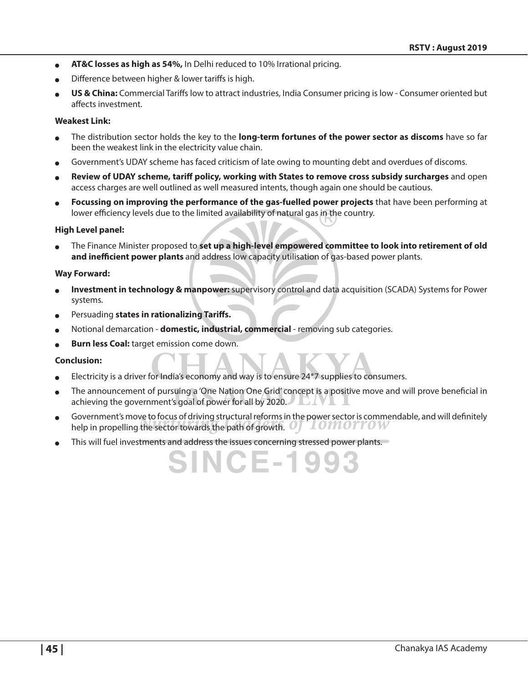- **AT&C losses as high as 54%, In Delhi reduced to 10% Irrational pricing.**
- Difference between higher & lower tariffs is high.
- <sup>O</sup> **US & China:** Commercial Tariffs low to attract industries, India Consumer pricing is low Consumer oriented but affects investment.

#### **Weakest Link:**

- The distribution sector holds the key to the **long-term fortunes of the power sector as discoms** have so far been the weakest link in the electricity value chain.
- Government's UDAY scheme has faced criticism of late owing to mounting debt and overdues of discoms.
- Review of UDAY scheme, tariff policy, working with States to remove cross subsidy surcharges and open access charges are well outlined as well measured intents, though again one should be cautious.
- Focussing on improving the performance of the gas-fuelled power projects that have been performing at lower efficiency levels due to the limited availability of natural gas in the country.

#### **High Level panel:**

The Finance Minister proposed to **set up a high-level empowered committee to look into retirement of old and inefficient power plants** and address low capacity utilisation of gas-based power plants.

#### **Way Forward:**

- Investment in technology & manpower: supervisory control and data acquisition (SCADA) Systems for Power systems.
- Persuading **states in rationalizing Tariffs.**
- <sup>O</sup> Notional demarcation **domestic, industrial, commercial** removing sub categories.
- **Burn less Coal:** target emission come down.

#### **Conclusion:**

- Electricity is a driver for India's economy and way is to ensure  $24*7$  supplies to consumers.
- The announcement of pursuing a 'One Nation One Grid' concept is a positive move and will prove beneficial in achieving the government's goal of power for all by 2020.
- Government's move to focus of driving structural reforms in the power sector is commendable, and will definitely help in propelling the sector towards the path of growth. *LOMOTTOW*

SINCE-199

This will fuel investments and address the issues concerning stressed power plants.